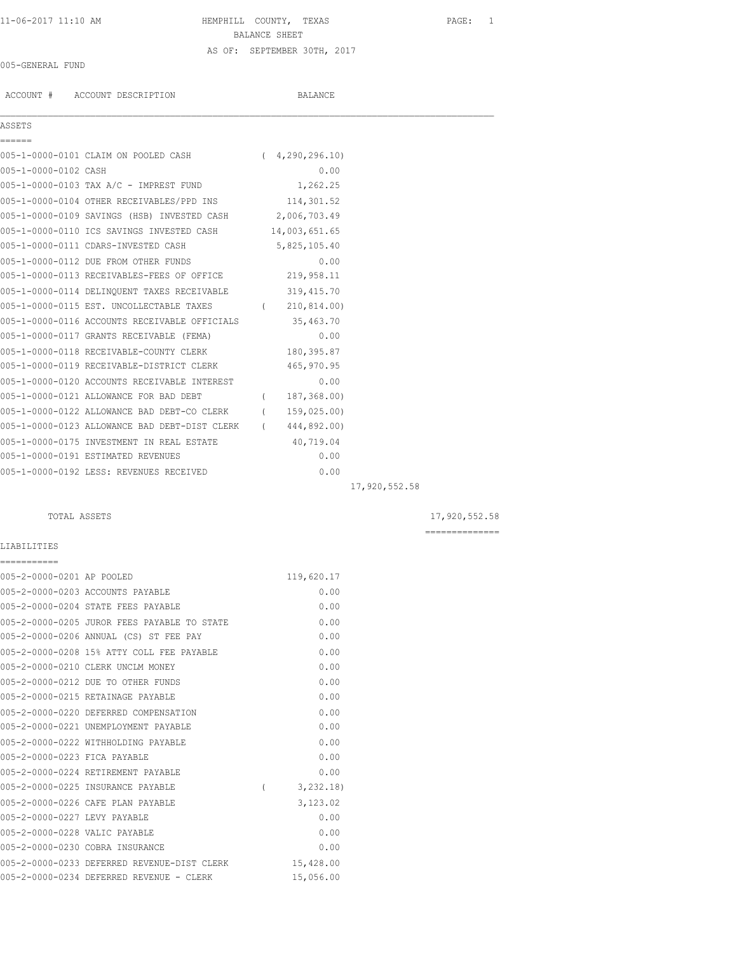# 11-06-2017 11:10 AM HEMPHILL COUNTY, TEXAS PAGE: 1 BALANCE SHEET AS OF: SEPTEMBER 30TH, 2017

#### 005-GENERAL FUND

ACCOUNT # ACCOUNT DESCRIPTION BALANCE  $\mathcal{L}_\mathcal{L} = \mathcal{L}_\mathcal{L}$ ASSETS ====== 005-1-0000-0101 CLAIM ON POOLED CASH (4,290,296.10) 005-1-0000-0102 CASH 0.00 005-1-0000-0103 TAX A/C - IMPREST FUND 1,262.25 005-1-0000-0104 OTHER RECEIVABLES/PPD INS 114,301.52 005-1-0000-0109 SAVINGS (HSB) INVESTED CASH 2,006,703.49 005-1-0000-0110 ICS SAVINGS INVESTED CASH 14,003,651.65<br>005-1-0000-0111 CDABS INVESTED CASH 14,003,651.65 005-1-0000-0111 CDARS-INVESTED CASH 5,825,105.40

| 005-1-0000-0112 DUE FROM OTHER FUNDS                       | 0.00           |               |
|------------------------------------------------------------|----------------|---------------|
| 005-1-0000-0113 RECEIVABLES-FEES OF OFFICE 219,958.11      |                |               |
| 005-1-0000-0114 DELINQUENT TAXES RECEIVABLE 319,415.70     |                |               |
| 005-1-0000-0115 EST. UNCOLLECTABLE TAXES (210,814.00)      |                |               |
| 005-1-0000-0116 ACCOUNTS RECEIVABLE OFFICIALS 35,463.70    |                |               |
| 005-1-0000-0117 GRANTS RECEIVABLE (FEMA)                   | 0.00           |               |
| 005-1-0000-0118 RECEIVABLE-COUNTY CLERK                    | 180,395.87     |               |
| 005-1-0000-0119 RECEIVABLE-DISTRICT CLERK                  | 465,970.95     |               |
| 005-1-0000-0120 ACCOUNTS RECEIVABLE INTEREST               | 0.00           |               |
| 005-1-0000-0121 ALLOWANCE FOR BAD DEBT                     | (187, 368, 00) |               |
| 005-1-0000-0122 ALLOWANCE BAD DEBT-CO CLERK (159,025.00)   |                |               |
| 005-1-0000-0123 ALLOWANCE BAD DEBT-DIST CLERK (444,892.00) |                |               |
| 005-1-0000-0175 INVESTMENT IN REAL ESTATE 40,719.04        |                |               |
| 005-1-0000-0191 ESTIMATED REVENUES                         | 0.00           |               |
| 005-1-0000-0192 LESS: REVENUES RECEIVED                    | 0.00           |               |
|                                                            |                | 17,920,552.58 |

### TOTAL ASSETS 17,920,552.58

==============

# LIABILITIES

| ===========                   |                                             |          |            |
|-------------------------------|---------------------------------------------|----------|------------|
| 005-2-0000-0201 AP POOLED     |                                             |          | 119,620.17 |
|                               | 005-2-0000-0203 ACCOUNTS PAYABLE            |          | 0.00       |
|                               | 005-2-0000-0204 STATE FEES PAYABLE          |          | 0.00       |
|                               | 005-2-0000-0205 JUROR FEES PAYABLE TO STATE |          | 0.00       |
|                               | 005-2-0000-0206 ANNUAL (CS) ST FEE PAY      |          | 0.00       |
|                               | 005-2-0000-0208 15% ATTY COLL FEE PAYABLE   |          | 0.00       |
|                               | 005-2-0000-0210 CLERK UNCLM MONEY           |          | 0.00       |
|                               | 005-2-0000-0212 DUE TO OTHER FUNDS          |          | 0.00       |
|                               | 005-2-0000-0215 RETAINAGE PAYABLE           |          | 0.00       |
|                               | 005-2-0000-0220 DEFERRED COMPENSATION       |          | 0.00       |
|                               | 005-2-0000-0221 UNEMPLOYMENT PAYABLE        |          | 0.00       |
|                               | 005-2-0000-0222 WITHHOLDING PAYABLE         |          | 0.00       |
| 005-2-0000-0223 FICA PAYABLE  |                                             |          | 0.00       |
|                               | 005-2-0000-0224 RETIREMENT PAYABLE          |          | 0.00       |
|                               | 005-2-0000-0225 INSURANCE PAYABLE           | $\left($ | 3, 232, 18 |
|                               | 005-2-0000-0226 CAFE PLAN PAYABLE           |          | 3,123.02   |
| 005-2-0000-0227 LEVY PAYABLE  |                                             |          | 0.00       |
| 005-2-0000-0228 VALIC PAYABLE |                                             |          | 0.00       |
|                               | 005-2-0000-0230 COBRA INSURANCE             |          | 0.00       |
|                               | 005-2-0000-0233 DEFERRED REVENUE-DIST CLERK |          | 15,428.00  |
|                               | 005-2-0000-0234 DEFERRED REVENUE - CLERK    |          | 15,056.00  |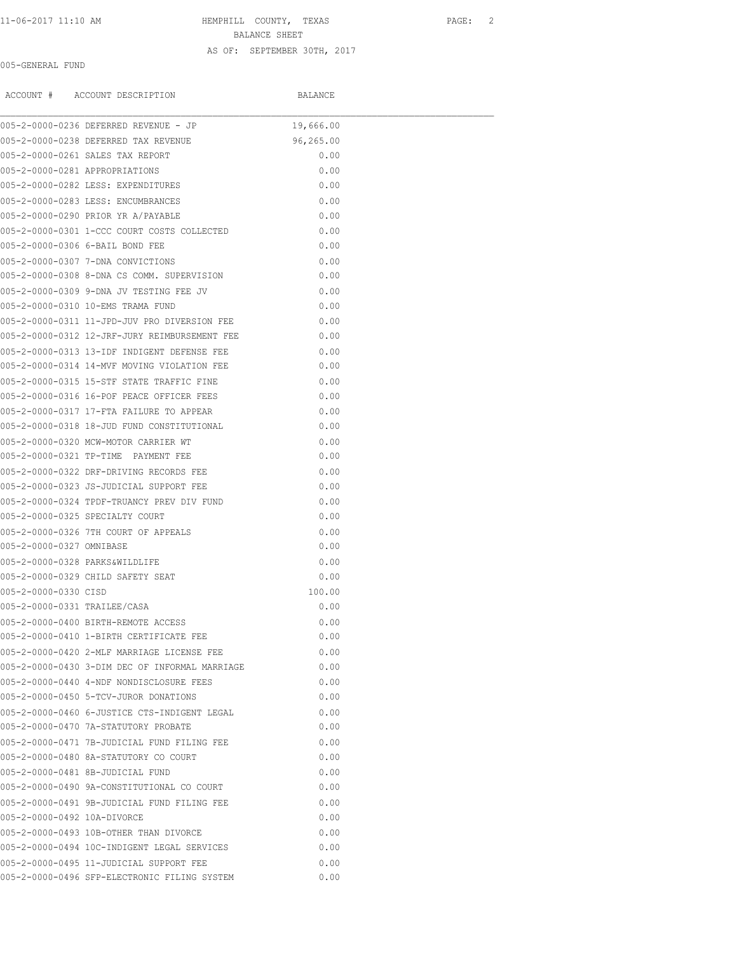# 11-06-2017 11:10 AM HEMPHILL COUNTY, TEXAS PAGE: 2 BALANCE SHEET AS OF: SEPTEMBER 30TH, 2017

### 005-GENERAL FUND

|                                | ACCOUNT # ACCOUNT DESCRIPTION                  | BALANCE   |  |
|--------------------------------|------------------------------------------------|-----------|--|
|                                | 005-2-0000-0236 DEFERRED REVENUE - JP          | 19,666.00 |  |
|                                | 005-2-0000-0238 DEFERRED TAX REVENUE           | 96,265.00 |  |
|                                | 005-2-0000-0261 SALES TAX REPORT               | 0.00      |  |
| 005-2-0000-0281 APPROPRIATIONS |                                                | 0.00      |  |
|                                | 005-2-0000-0282 LESS: EXPENDITURES             | 0.00      |  |
|                                | 005-2-0000-0283 LESS: ENCUMBRANCES             | 0.00      |  |
|                                | 005-2-0000-0290 PRIOR YR A/PAYABLE             | 0.00      |  |
|                                | 005-2-0000-0301 1-CCC COURT COSTS COLLECTED    | 0.00      |  |
|                                | 005-2-0000-0306 6-BAIL BOND FEE                | 0.00      |  |
|                                | 005-2-0000-0307 7-DNA CONVICTIONS              | 0.00      |  |
|                                | 005-2-0000-0308 8-DNA CS COMM. SUPERVISION     | 0.00      |  |
|                                | 005-2-0000-0309 9-DNA JV TESTING FEE JV        | 0.00      |  |
|                                | 005-2-0000-0310 10-EMS TRAMA FUND              | 0.00      |  |
|                                | 005-2-0000-0311 11-JPD-JUV PRO DIVERSION FEE   | 0.00      |  |
|                                | 005-2-0000-0312 12-JRF-JURY REIMBURSEMENT FEE  | 0.00      |  |
|                                | 005-2-0000-0313 13-IDF INDIGENT DEFENSE FEE    | 0.00      |  |
|                                | 005-2-0000-0314 14-MVF MOVING VIOLATION FEE    | 0.00      |  |
|                                | 005-2-0000-0315 15-STF STATE TRAFFIC FINE      | 0.00      |  |
|                                | 005-2-0000-0316 16-POF PEACE OFFICER FEES      | 0.00      |  |
|                                | 005-2-0000-0317 17-FTA FAILURE TO APPEAR       | 0.00      |  |
|                                | 005-2-0000-0318 18-JUD FUND CONSTITUTIONAL     | 0.00      |  |
|                                | 005-2-0000-0320 MCW-MOTOR CARRIER WT           | 0.00      |  |
|                                | 005-2-0000-0321 TP-TIME PAYMENT FEE            | 0.00      |  |
|                                | 005-2-0000-0322 DRF-DRIVING RECORDS FEE        | 0.00      |  |
|                                | 005-2-0000-0323 JS-JUDICIAL SUPPORT FEE        | 0.00      |  |
|                                | 005-2-0000-0324 TPDF-TRUANCY PREV DIV FUND     | 0.00      |  |
|                                | 005-2-0000-0325 SPECIALTY COURT                | 0.00      |  |
|                                | 005-2-0000-0326 7TH COURT OF APPEALS           | 0.00      |  |
| 005-2-0000-0327 OMNIBASE       |                                                | 0.00      |  |
| 005-2-0000-0328 PARKS&WILDLIFE |                                                | 0.00      |  |
|                                | 005-2-0000-0329 CHILD SAFETY SEAT              | 0.00      |  |
| 005-2-0000-0330 CISD           |                                                | 100.00    |  |
| 005-2-0000-0331 TRAILEE/CASA   |                                                | 0.00      |  |
|                                | 005-2-0000-0400 BIRTH-REMOTE ACCESS            | 0.00      |  |
|                                | 005-2-0000-0410 1-BIRTH CERTIFICATE FEE        | 0.00      |  |
|                                | 005-2-0000-0420 2-MLF MARRIAGE LICENSE FEE     | 0.00      |  |
|                                | 005-2-0000-0430 3-DIM DEC OF INFORMAL MARRIAGE | 0.00      |  |
|                                | 005-2-0000-0440 4-NDF NONDISCLOSURE FEES       | 0.00      |  |
|                                | 005-2-0000-0450 5-TCV-JUROR DONATIONS          | 0.00      |  |
|                                |                                                |           |  |
|                                | 005-2-0000-0460 6-JUSTICE CTS-INDIGENT LEGAL   | 0.00      |  |
|                                | 005-2-0000-0470 7A-STATUTORY PROBATE           | 0.00      |  |
|                                | 005-2-0000-0471 7B-JUDICIAL FUND FILING FEE    | 0.00      |  |
|                                | 005-2-0000-0480 8A-STATUTORY CO COURT          | 0.00      |  |
|                                | 005-2-0000-0481 8B-JUDICIAL FUND               | 0.00      |  |
|                                | 005-2-0000-0490 9A-CONSTITUTIONAL CO COURT     | 0.00      |  |
|                                | 005-2-0000-0491 9B-JUDICIAL FUND FILING FEE    | 0.00      |  |
| 005-2-0000-0492 10A-DIVORCE    |                                                | 0.00      |  |
|                                | 005-2-0000-0493 10B-OTHER THAN DIVORCE         | 0.00      |  |
|                                | 005-2-0000-0494 10C-INDIGENT LEGAL SERVICES    | 0.00      |  |
|                                | 005-2-0000-0495 11-JUDICIAL SUPPORT FEE        | 0.00      |  |
|                                | 005-2-0000-0496 SFP-ELECTRONIC FILING SYSTEM   | 0.00      |  |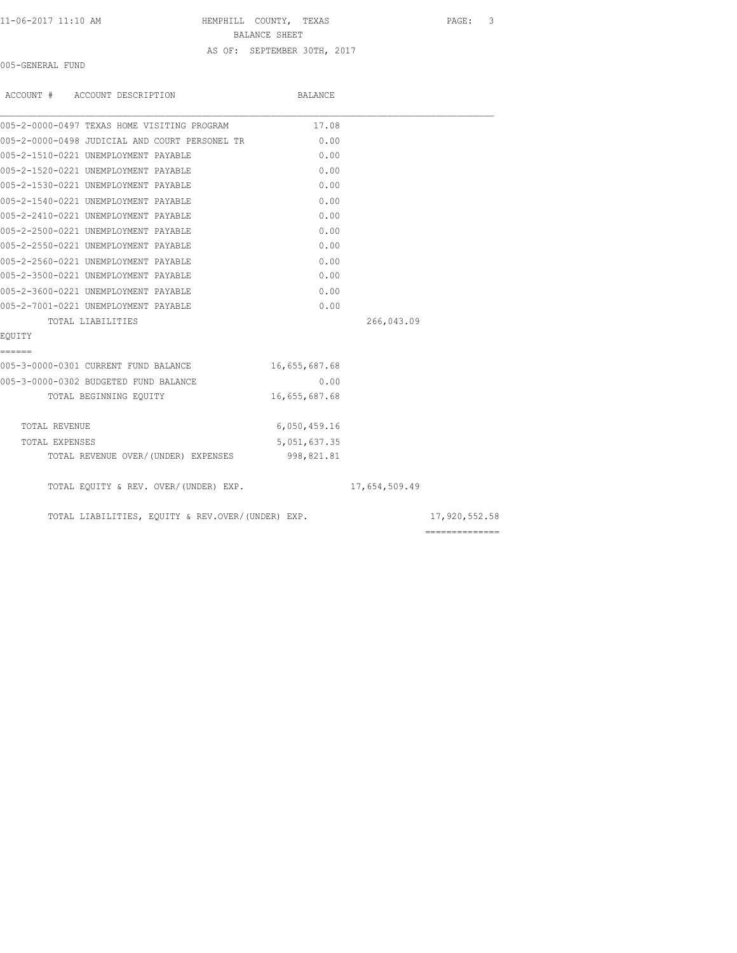#### 11-06-2017 11:10 AM HEMPHILL COUNTY, TEXAS PAGE: 3

BALANCE SHEET

AS OF: SEPTEMBER 30TH, 2017

005-GENERAL FUND

| ACCOUNT # ACCOUNT DESCRIPTION                     | BALANCE       |               |                                                                                                                                                                                                                                                                                                                                                                                                                                                                                        |
|---------------------------------------------------|---------------|---------------|----------------------------------------------------------------------------------------------------------------------------------------------------------------------------------------------------------------------------------------------------------------------------------------------------------------------------------------------------------------------------------------------------------------------------------------------------------------------------------------|
| 005-2-0000-0497 TEXAS HOME VISITING PROGRAM       | 17.08         |               |                                                                                                                                                                                                                                                                                                                                                                                                                                                                                        |
| 005-2-0000-0498 JUDICIAL AND COURT PERSONEL TR    | 0.00          |               |                                                                                                                                                                                                                                                                                                                                                                                                                                                                                        |
| 005-2-1510-0221 UNEMPLOYMENT PAYABLE              | 0.00          |               |                                                                                                                                                                                                                                                                                                                                                                                                                                                                                        |
| 005-2-1520-0221 UNEMPLOYMENT PAYABLE              | 0.00          |               |                                                                                                                                                                                                                                                                                                                                                                                                                                                                                        |
| 005-2-1530-0221 UNEMPLOYMENT PAYABLE              | 0.00          |               |                                                                                                                                                                                                                                                                                                                                                                                                                                                                                        |
| 005-2-1540-0221 UNEMPLOYMENT PAYABLE              | 0.00          |               |                                                                                                                                                                                                                                                                                                                                                                                                                                                                                        |
| 005-2-2410-0221 UNEMPLOYMENT PAYABLE              | 0.00          |               |                                                                                                                                                                                                                                                                                                                                                                                                                                                                                        |
| 005-2-2500-0221 UNEMPLOYMENT PAYABLE              | 0.00          |               |                                                                                                                                                                                                                                                                                                                                                                                                                                                                                        |
| 005-2-2550-0221 UNEMPLOYMENT PAYABLE              | 0.00          |               |                                                                                                                                                                                                                                                                                                                                                                                                                                                                                        |
| 005-2-2560-0221 UNEMPLOYMENT PAYABLE              | 0.00          |               |                                                                                                                                                                                                                                                                                                                                                                                                                                                                                        |
| 005-2-3500-0221 UNEMPLOYMENT PAYABLE              | 0.00          |               |                                                                                                                                                                                                                                                                                                                                                                                                                                                                                        |
| 005-2-3600-0221 UNEMPLOYMENT PAYABLE              | 0.00          |               |                                                                                                                                                                                                                                                                                                                                                                                                                                                                                        |
| 005-2-7001-0221 UNEMPLOYMENT PAYABLE              | 0.00          |               |                                                                                                                                                                                                                                                                                                                                                                                                                                                                                        |
| TOTAL LIABILITIES                                 |               | 266,043.09    |                                                                                                                                                                                                                                                                                                                                                                                                                                                                                        |
| EOUITY                                            |               |               |                                                                                                                                                                                                                                                                                                                                                                                                                                                                                        |
| ======                                            |               |               |                                                                                                                                                                                                                                                                                                                                                                                                                                                                                        |
| 005-3-0000-0301 CURRENT FUND BALANCE              | 16,655,687.68 |               |                                                                                                                                                                                                                                                                                                                                                                                                                                                                                        |
| 005-3-0000-0302 BUDGETED FUND BALANCE             | 0.00          |               |                                                                                                                                                                                                                                                                                                                                                                                                                                                                                        |
| TOTAL BEGINNING EQUITY                            | 16,655,687.68 |               |                                                                                                                                                                                                                                                                                                                                                                                                                                                                                        |
| TOTAL REVENUE                                     | 6,050,459.16  |               |                                                                                                                                                                                                                                                                                                                                                                                                                                                                                        |
| TOTAL EXPENSES                                    | 5,051,637.35  |               |                                                                                                                                                                                                                                                                                                                                                                                                                                                                                        |
| TOTAL REVENUE OVER/(UNDER) EXPENSES               | 998,821.81    |               |                                                                                                                                                                                                                                                                                                                                                                                                                                                                                        |
| TOTAL EQUITY & REV. OVER/(UNDER) EXP.             |               | 17,654,509.49 |                                                                                                                                                                                                                                                                                                                                                                                                                                                                                        |
| TOTAL LIABILITIES, EQUITY & REV.OVER/(UNDER) EXP. |               |               | 17,920,552.58                                                                                                                                                                                                                                                                                                                                                                                                                                                                          |
|                                                   |               |               | $\begin{array}{cccccccccc} \multicolumn{2}{c}{} & \multicolumn{2}{c}{} & \multicolumn{2}{c}{} & \multicolumn{2}{c}{} & \multicolumn{2}{c}{} & \multicolumn{2}{c}{} & \multicolumn{2}{c}{} & \multicolumn{2}{c}{} & \multicolumn{2}{c}{} & \multicolumn{2}{c}{} & \multicolumn{2}{c}{} & \multicolumn{2}{c}{} & \multicolumn{2}{c}{} & \multicolumn{2}{c}{} & \multicolumn{2}{c}{} & \multicolumn{2}{c}{} & \multicolumn{2}{c}{} & \multicolumn{2}{c}{} & \multicolumn{2}{c}{} & \mult$ |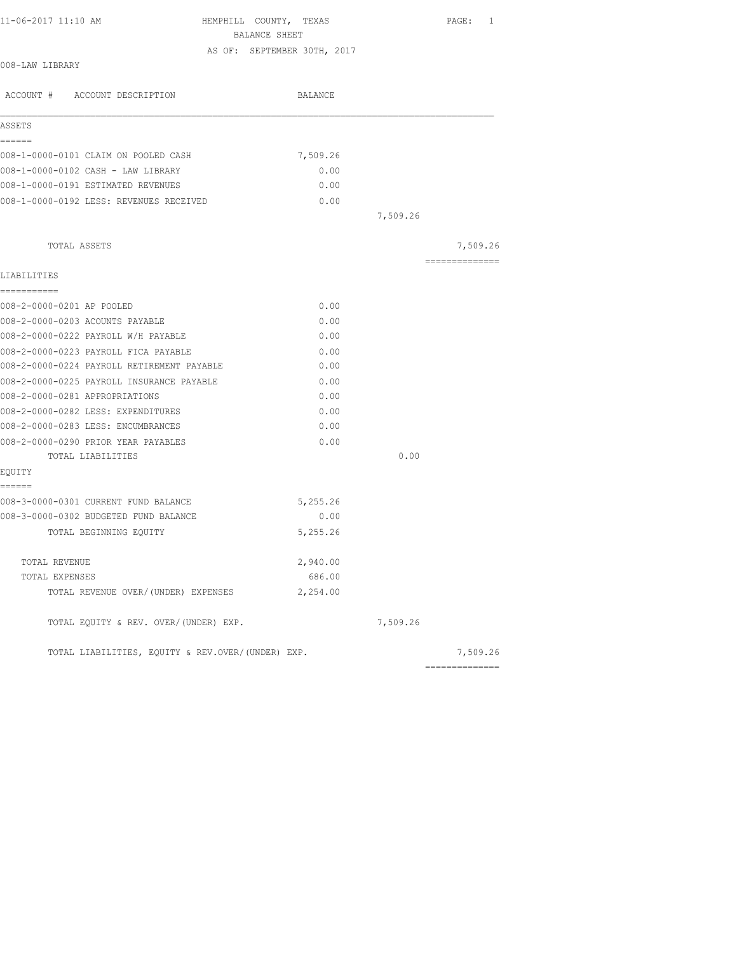| 11-06-2017 11:10 AM                        | HEMPHILL COUNTY, TEXAS<br>BALANCE SHEET |          |          | PAGE: 1        |
|--------------------------------------------|-----------------------------------------|----------|----------|----------------|
|                                            |                                         |          |          |                |
| 008-LAW LIBRARY                            | AS OF: SEPTEMBER 30TH, 2017             |          |          |                |
| ACCOUNT # ACCOUNT DESCRIPTION              |                                         | BALANCE  |          |                |
| ASSETS                                     |                                         |          |          |                |
| ======                                     |                                         |          |          |                |
| 008-1-0000-0101 CLAIM ON POOLED CASH       |                                         | 7,509.26 |          |                |
| 008-1-0000-0102 CASH - LAW LIBRARY         |                                         | 0.00     |          |                |
| 008-1-0000-0191 ESTIMATED REVENUES         |                                         | 0.00     |          |                |
| 008-1-0000-0192 LESS: REVENUES RECEIVED    |                                         | 0.00     |          |                |
|                                            |                                         |          | 7,509.26 |                |
| TOTAL ASSETS                               |                                         |          |          | 7,509.26       |
|                                            |                                         |          |          | ============== |
| LIABILITIES<br>===========                 |                                         |          |          |                |
| 008-2-0000-0201 AP POOLED                  |                                         | 0.00     |          |                |
| 008-2-0000-0203 ACOUNTS PAYABLE            |                                         | 0.00     |          |                |
| 008-2-0000-0222 PAYROLL W/H PAYABLE        |                                         | 0.00     |          |                |
| 008-2-0000-0223 PAYROLL FICA PAYABLE       |                                         | 0.00     |          |                |
| 008-2-0000-0224 PAYROLL RETIREMENT PAYABLE |                                         | 0.00     |          |                |
| 008-2-0000-0225 PAYROLL INSURANCE PAYABLE  |                                         | 0.00     |          |                |
| 008-2-0000-0281 APPROPRIATIONS             |                                         | 0.00     |          |                |
| 008-2-0000-0282 LESS: EXPENDITURES         |                                         | 0.00     |          |                |
| 008-2-0000-0283 LESS: ENCUMBRANCES         |                                         | 0.00     |          |                |
| 008-2-0000-0290 PRIOR YEAR PAYABLES        |                                         | 0.00     |          |                |
| TOTAL LIABILITIES                          |                                         |          | 0.00     |                |
| EQUITY                                     |                                         |          |          |                |
| ------                                     |                                         |          |          |                |
| 008-3-0000-0301 CURRENT FUND BALANCE       |                                         | 5,255.26 |          |                |
| 008-3-0000-0302 BUDGETED FUND BALANCE      |                                         | 0.00     |          |                |
| TOTAL BEGINNING EQUITY                     |                                         | 5,255.26 |          |                |
| TOTAL REVENUE                              |                                         | 2,940.00 |          |                |
| TOTAL EXPENSES                             |                                         | 686.00   |          |                |
| TOTAL REVENUE OVER/(UNDER) EXPENSES        |                                         | 2,254.00 |          |                |
| TOTAL EQUITY & REV. OVER/(UNDER) EXP.      |                                         |          | 7,509.26 |                |

TOTAL LIABILITIES, EQUITY & REV.OVER/(UNDER) EXP.  $7,509.26$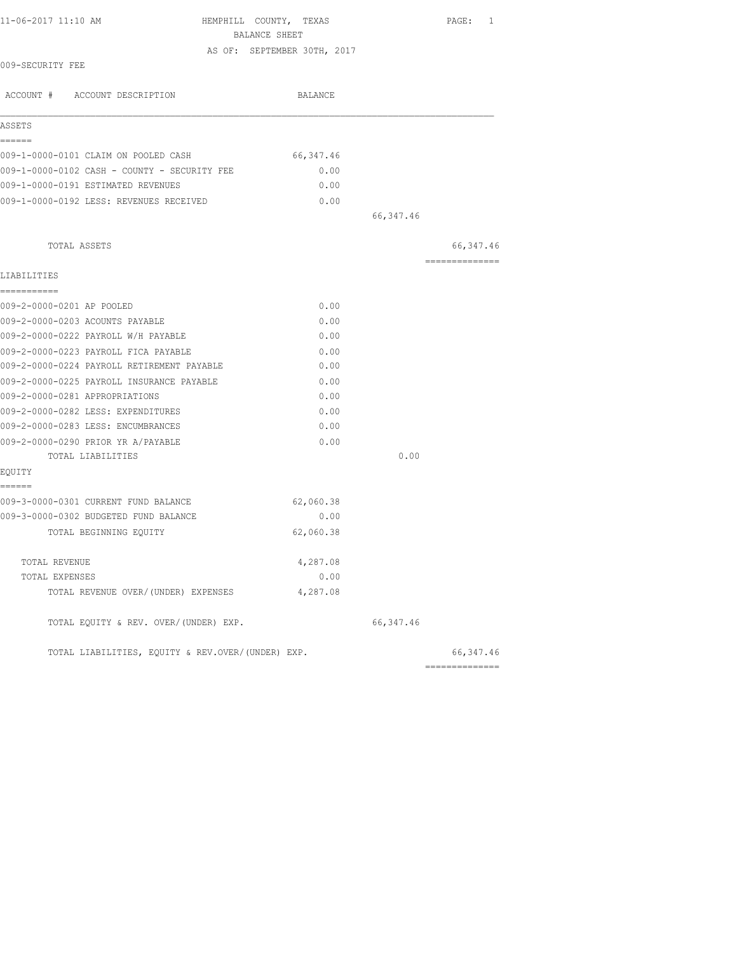| 11-06-2017 11:10 AM                               | HEMPHILL COUNTY, TEXAS<br>BALANCE SHEET |            | PAGE: 1                      |
|---------------------------------------------------|-----------------------------------------|------------|------------------------------|
|                                                   | AS OF: SEPTEMBER 30TH, 2017             |            |                              |
| 009-SECURITY FEE                                  |                                         |            |                              |
| ACCOUNT # ACCOUNT DESCRIPTION                     | BALANCE                                 |            |                              |
| ASSETS                                            |                                         |            |                              |
| ======                                            |                                         |            |                              |
| 009-1-0000-0101 CLAIM ON POOLED CASH              | 66, 347.46                              |            |                              |
| 009-1-0000-0102 CASH - COUNTY - SECURITY FEE      | 0.00                                    |            |                              |
| 009-1-0000-0191 ESTIMATED REVENUES                | 0.00                                    |            |                              |
| 009-1-0000-0192 LESS: REVENUES RECEIVED           | 0.00                                    |            |                              |
|                                                   |                                         | 66,347.46  |                              |
| TOTAL ASSETS                                      |                                         |            | 66, 347.46                   |
| LIABILITIES                                       |                                         |            | --------------               |
| ===========                                       |                                         |            |                              |
| 009-2-0000-0201 AP POOLED                         | 0.00                                    |            |                              |
| 009-2-0000-0203 ACOUNTS PAYABLE                   | 0.00                                    |            |                              |
| 009-2-0000-0222 PAYROLL W/H PAYABLE               | 0.00                                    |            |                              |
| 009-2-0000-0223 PAYROLL FICA PAYABLE              | 0.00                                    |            |                              |
| 009-2-0000-0224 PAYROLL RETIREMENT PAYABLE        | 0.00                                    |            |                              |
| 009-2-0000-0225 PAYROLL INSURANCE PAYABLE         | 0.00                                    |            |                              |
| 009-2-0000-0281 APPROPRIATIONS                    | 0.00                                    |            |                              |
| 009-2-0000-0282 LESS: EXPENDITURES                | 0.00                                    |            |                              |
| 009-2-0000-0283 LESS: ENCUMBRANCES                | 0.00                                    |            |                              |
| 009-2-0000-0290 PRIOR YR A/PAYABLE                | 0.00                                    |            |                              |
| TOTAL LIABILITIES                                 |                                         | 0.00       |                              |
| EQUITY<br>======                                  |                                         |            |                              |
| 009-3-0000-0301 CURRENT FUND BALANCE              | 62,060.38                               |            |                              |
| 009-3-0000-0302 BUDGETED FUND BALANCE             | 0.00                                    |            |                              |
| TOTAL BEGINNING EQUITY                            | 62,060.38                               |            |                              |
| TOTAL REVENUE                                     | 4,287.08                                |            |                              |
| TOTAL EXPENSES                                    | 0.00                                    |            |                              |
| TOTAL REVENUE OVER/(UNDER) EXPENSES               | 4,287.08                                |            |                              |
| TOTAL EQUITY & REV. OVER/(UNDER) EXP.             |                                         | 66, 347.46 |                              |
| TOTAL LIABILITIES, EQUITY & REV.OVER/(UNDER) EXP. |                                         |            | 66, 347.46<br>============== |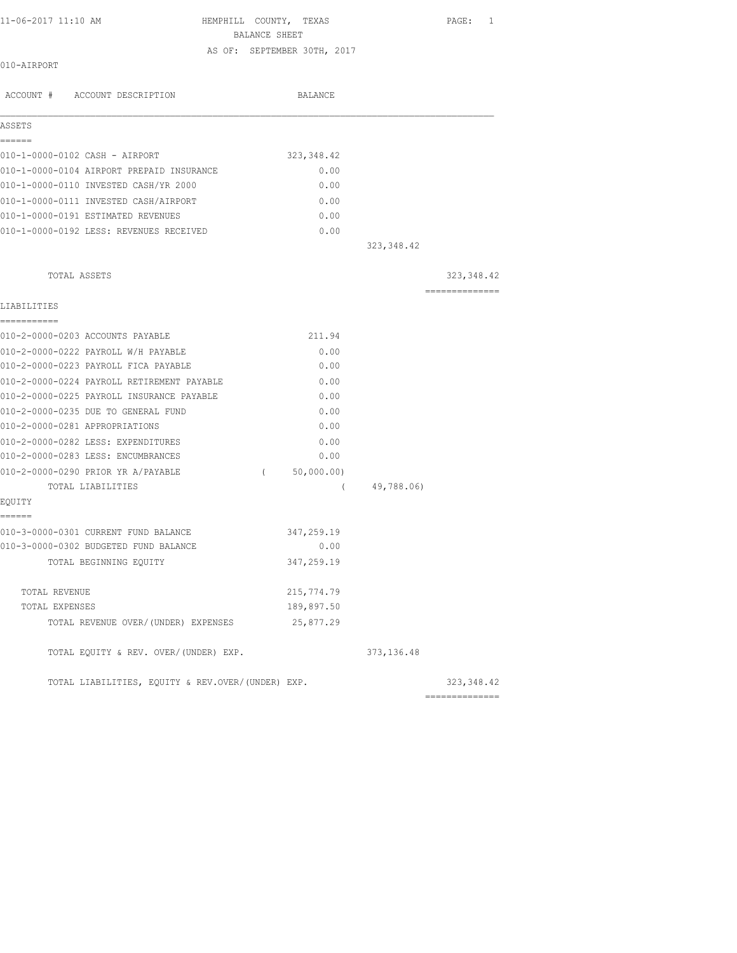| 11-06-2017 11:10 AM |  |  |
|---------------------|--|--|
|---------------------|--|--|

HEMPHILL COUNTY, TEXAS PAGE: 1 BALANCE SHEET AS OF: SEPTEMBER 30TH, 2017

### 010-AIRPORT

| ACCOUNT # ACCOUNT DESCRIPTION                     | <b>BALANCE</b>         |                 |
|---------------------------------------------------|------------------------|-----------------|
| ASSETS<br>------                                  |                        |                 |
| 010-1-0000-0102 CASH - AIRPORT                    | 323, 348.42            |                 |
| 010-1-0000-0104 AIRPORT PREPAID INSURANCE         | 0.00                   |                 |
| 010-1-0000-0110 INVESTED CASH/YR 2000             | 0.00                   |                 |
| 010-1-0000-0111 INVESTED CASH/AIRPORT             | 0.00                   |                 |
| 010-1-0000-0191 ESTIMATED REVENUES                | 0.00                   |                 |
| 010-1-0000-0192 LESS: REVENUES RECEIVED           | 0.00                   | 323, 348.42     |
|                                                   |                        |                 |
| TOTAL ASSETS                                      |                        | 323, 348.42     |
| LIABILITIES                                       |                        | --------------- |
| -----------<br>010-2-0000-0203 ACCOUNTS PAYABLE   | 211.94                 |                 |
| 010-2-0000-0222 PAYROLL W/H PAYABLE               | 0.00                   |                 |
| 010-2-0000-0223 PAYROLL FICA PAYABLE              | 0.00                   |                 |
| 010-2-0000-0224 PAYROLL RETIREMENT PAYABLE        | 0.00                   |                 |
| 010-2-0000-0225 PAYROLL INSURANCE PAYABLE         | 0.00                   |                 |
| 010-2-0000-0235 DUE TO GENERAL FUND               | 0.00                   |                 |
| 010-2-0000-0281 APPROPRIATIONS                    | 0.00                   |                 |
| 010-2-0000-0282 LESS: EXPENDITURES                | 0.00                   |                 |
| 010-2-0000-0283 LESS: ENCUMBRANCES                | 0.00                   |                 |
| 010-2-0000-0290 PRIOR YR A/PAYABLE                | 50,000.00)<br>$\left($ |                 |
| TOTAL LIABILITIES                                 | $\left($               | 49,788.06)      |
| EQUITY<br>------                                  |                        |                 |
| 010-3-0000-0301 CURRENT FUND BALANCE              | 347,259.19             |                 |
| 010-3-0000-0302 BUDGETED FUND BALANCE             | 0.00                   |                 |
| TOTAL BEGINNING EQUITY                            | 347,259.19             |                 |
| TOTAL REVENUE                                     | 215,774.79             |                 |
| TOTAL EXPENSES                                    | 189,897.50             |                 |
| TOTAL REVENUE OVER/(UNDER) EXPENSES               | 25,877.29              |                 |
| TOTAL EQUITY & REV. OVER/(UNDER) EXP.             |                        | 373, 136.48     |
| TOTAL LIABILITIES, EQUITY & REV.OVER/(UNDER) EXP. |                        | 323, 348.42     |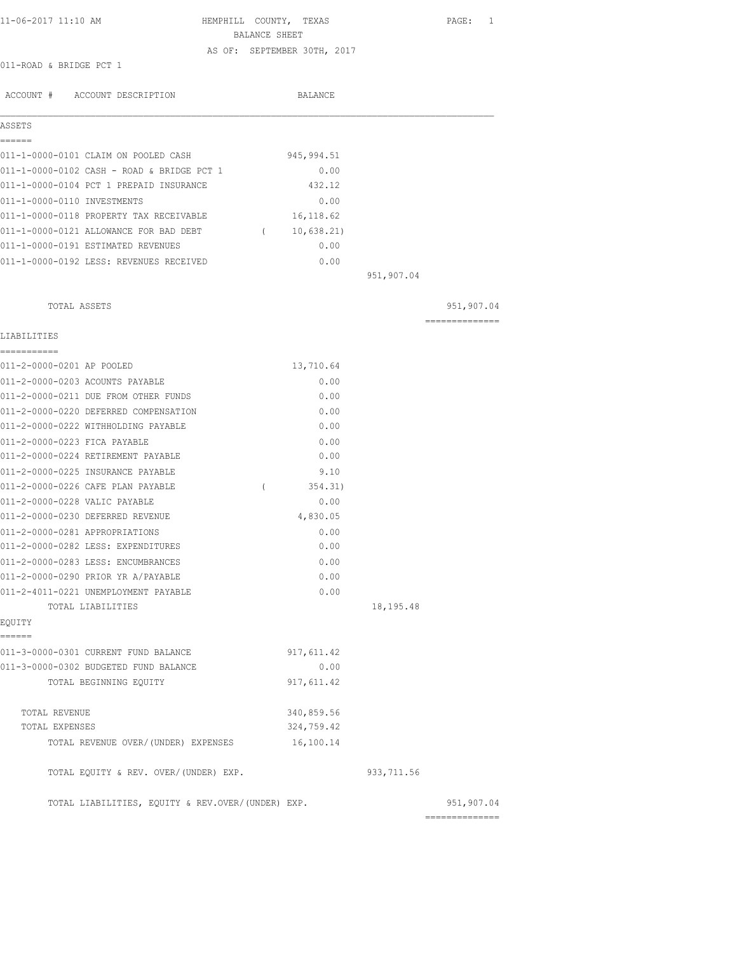| 11-06-2017 11:10 AM | HEMPHILL COUNTY, | TEXAS | PAGE: |  |
|---------------------|------------------|-------|-------|--|

BALANCE SHEET

AS OF: SEPTEMBER 30TH, 2017

011-ROAD & BRIDGE PCT 1

| ACCOUNT # ACCOUNT DESCRIPTION                             | <b>BALANCE</b>           |            |                 |
|-----------------------------------------------------------|--------------------------|------------|-----------------|
| ASSETS                                                    |                          |            |                 |
|                                                           |                          |            |                 |
| 011-1-0000-0101 CLAIM ON POOLED CASH                      | 945, 994.51              |            |                 |
| 011-1-0000-0102 CASH - ROAD & BRIDGE PCT 1                | 0.00                     |            |                 |
| 011-1-0000-0104 PCT 1 PREPAID INSURANCE                   | 432.12                   |            |                 |
| 011-1-0000-0110 INVESTMENTS                               | 0.00                     |            |                 |
| 011-1-0000-0118 PROPERTY TAX RECEIVABLE                   | 16, 118.62               |            |                 |
| 011-1-0000-0121 ALLOWANCE FOR BAD DEBT                    | 10,638.21)<br>$\sqrt{2}$ |            |                 |
| 011-1-0000-0191 ESTIMATED REVENUES                        | 0.00                     |            |                 |
| 011-1-0000-0192 LESS: REVENUES RECEIVED                   | 0.00                     |            |                 |
|                                                           |                          | 951,907.04 |                 |
| TOTAL ASSETS                                              |                          |            | 951,907.04      |
| LIABILITIES                                               |                          |            |                 |
| 011-2-0000-0201 AP POOLED                                 | 13,710.64                |            |                 |
| 011-2-0000-0203 ACOUNTS PAYABLE                           | 0.00                     |            |                 |
| 011-2-0000-0211 DUE FROM OTHER FUNDS                      | 0.00                     |            |                 |
| 011-2-0000-0220 DEFERRED COMPENSATION                     | 0.00                     |            |                 |
| 011-2-0000-0222 WITHHOLDING PAYABLE                       | 0.00                     |            |                 |
| 011-2-0000-0223 FICA PAYABLE                              | 0.00                     |            |                 |
| 011-2-0000-0224 RETIREMENT PAYABLE                        | 0.00                     |            |                 |
| 011-2-0000-0225 INSURANCE PAYABLE                         | 9.10                     |            |                 |
| 011-2-0000-0226 CAFE PLAN PAYABLE                         | $\left($<br>354.31)      |            |                 |
| 011-2-0000-0228 VALIC PAYABLE                             |                          |            |                 |
| 011-2-0000-0230 DEFERRED REVENUE                          | 0.00                     |            |                 |
|                                                           | 4,830.05                 |            |                 |
| 011-2-0000-0281 APPROPRIATIONS                            | 0.00                     |            |                 |
| 011-2-0000-0282 LESS: EXPENDITURES                        | 0.00                     |            |                 |
| 011-2-0000-0283 LESS: ENCUMBRANCES                        | 0.00                     |            |                 |
| 011-2-0000-0290 PRIOR YR A/PAYABLE                        | 0.00                     |            |                 |
| 011-2-4011-0221 UNEMPLOYMENT PAYABLE<br>TOTAL LIABILITIES | 0.00                     | 18,195.48  |                 |
| EQUITY                                                    |                          |            |                 |
| ======                                                    |                          |            |                 |
| 011-3-0000-0301 CURRENT FUND BALANCE                      | 917, 611.42              |            |                 |
| 011-3-0000-0302 BUDGETED FUND BALANCE                     | 0.00                     |            |                 |
| TOTAL BEGINNING EQUITY                                    | 917, 611.42              |            |                 |
| TOTAL REVENUE                                             | 340,859.56               |            |                 |
| TOTAL EXPENSES                                            | 324,759.42               |            |                 |
| TOTAL REVENUE OVER/(UNDER) EXPENSES                       | 16,100.14                |            |                 |
| TOTAL EQUITY & REV. OVER/(UNDER) EXP.                     |                          | 933,711.56 |                 |
| TOTAL LIABILITIES, EQUITY & REV.OVER/(UNDER) EXP.         |                          |            | 951,907.04      |
|                                                           |                          |            | --------------- |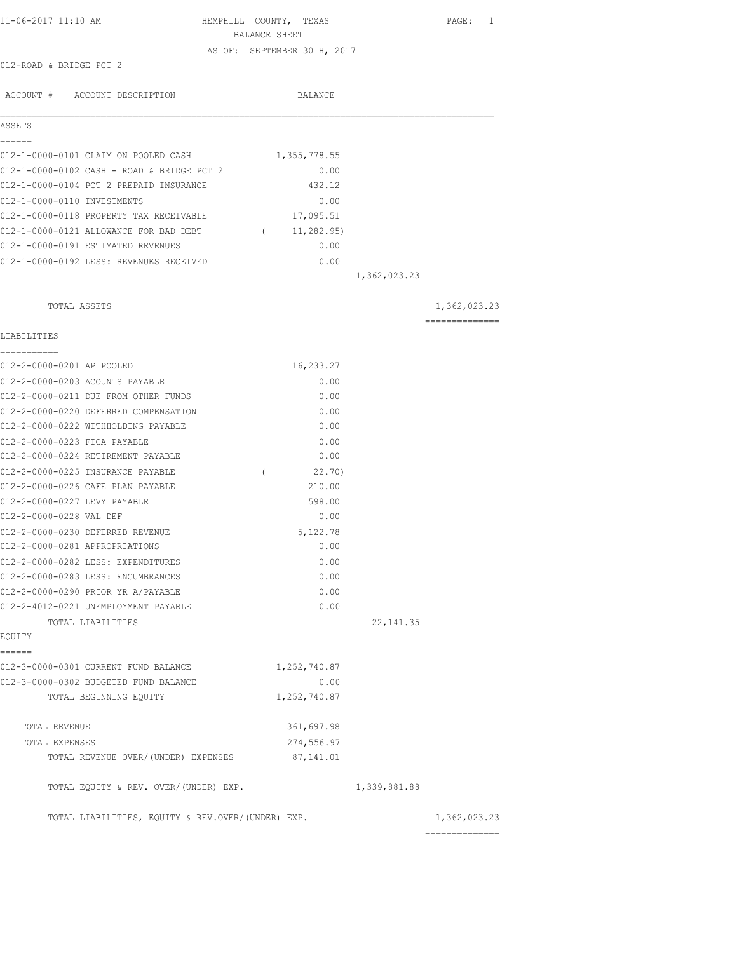| 11-06-2017 11:10 AM                            | HEMPHILL COUNTY, TEXAS<br>PAGE: 1 |
|------------------------------------------------|-----------------------------------|
|                                                | BALANCE SHEET                     |
|                                                | AS OF: SEPTEMBER 30TH, 2017       |
| 012-ROAD & BRIDGE PCT 2                        |                                   |
| ACCOUNT # ACCOUNT DESCRIPTION                  | BALANCE                           |
| ASSETS                                         |                                   |
| ======<br>012-1-0000-0101 CLAIM ON POOLED CASH | 1,355,778.55                      |
| 012-1-0000-0102 CASH - ROAD & BRIDGE PCT 2     | 0.00                              |
| 012-1-0000-0104 PCT 2 PREPAID INSURANCE        | 432.12                            |
| 012-1-0000-0110 INVESTMENTS                    | 0.00                              |
| 012-1-0000-0118 PROPERTY TAX RECEIVABLE        | 17,095.51                         |
| 012-1-0000-0121 ALLOWANCE FOR BAD DEBT         | 11,282.95)<br>$\sqrt{2}$          |
| 012-1-0000-0191 ESTIMATED REVENUES             | 0.00                              |
| 012-1-0000-0192 LESS: REVENUES RECEIVED        | 0.00                              |
|                                                | 1,362,023.23                      |
| TOTAL ASSETS                                   | 1,362,023.23                      |
| LIABILITIES                                    | ---------------                   |
| 012-2-0000-0201 AP POOLED                      | 16,233.27                         |
| 012-2-0000-0203 ACOUNTS PAYABLE                | 0.00                              |
| 012-2-0000-0211 DUE FROM OTHER FUNDS           | 0.00                              |
| 012-2-0000-0220 DEFERRED COMPENSATION          | 0.00                              |
| 012-2-0000-0222 WITHHOLDING PAYABLE            | 0.00                              |
| 012-2-0000-0223 FICA PAYABLE                   | 0.00                              |
| 012-2-0000-0224 RETIREMENT PAYABLE             | 0.00                              |
| 012-2-0000-0225 INSURANCE PAYABLE              | 22.70)<br>$\left($                |
| 012-2-0000-0226 CAFE PLAN PAYABLE              | 210.00                            |
| 012-2-0000-0227 LEVY PAYABLE                   | 598.00                            |
| 012-2-0000-0228 VAL DEF                        | 0.00                              |
| 012-2-0000-0230 DEFERRED REVENUE               | 5,122.78                          |
| 012-2-0000-0281 APPROPRIATIONS                 | 0.00                              |
| 012-2-0000-0282 LESS: EXPENDITURES             | 0.00                              |
| 012-2-0000-0283 LESS: ENCUMBRANCES             | 0.00                              |
| 012-2-0000-0290 PRIOR YR A/PAYABLE             | 0.00                              |
| 012-2-4012-0221 UNEMPLOYMENT PAYABLE           | 0.00                              |
| TOTAL LIABILITIES                              | 22, 141.35                        |
| EQUITY                                         |                                   |
| ======<br>012-3-0000-0301 CURRENT FUND BALANCE | 1,252,740.87                      |
| 012-3-0000-0302 BUDGETED FUND BALANCE          | 0.00                              |
| TOTAL BEGINNING EQUITY                         | 1,252,740.87                      |
| TOTAL REVENUE                                  | 361,697.98                        |
| TOTAL EXPENSES                                 | 274,556.97                        |
| TOTAL REVENUE OVER/ (UNDER) EXPENSES           | 87,141.01                         |
| TOTAL EQUITY & REV. OVER/(UNDER) EXP.          | 1,339,881.88                      |

TOTAL LIABILITIES, EQUITY & REV.OVER/(UNDER) EXP. 1,362,023.23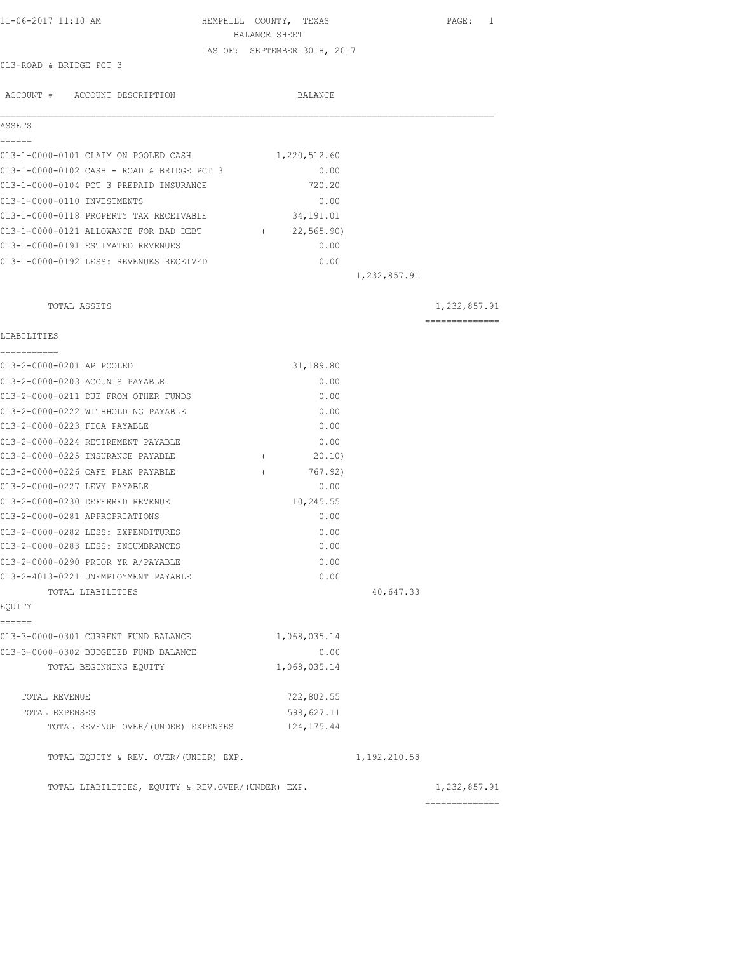| 11-06-2017 11:10 AM                                                        | HEMPHILL COUNTY, TEXAS<br>BALANCE SHEET |                | PAGE: 1        |
|----------------------------------------------------------------------------|-----------------------------------------|----------------|----------------|
|                                                                            |                                         |                |                |
| 013-ROAD & BRIDGE PCT 3                                                    | AS OF: SEPTEMBER 30TH, 2017             |                |                |
|                                                                            |                                         |                |                |
| ACCOUNT # ACCOUNT DESCRIPTION                                              | BALANCE                                 |                |                |
| ASSETS                                                                     |                                         |                |                |
| ------<br>013-1-0000-0101 CLAIM ON POOLED CASH                             | 1,220,512.60                            |                |                |
| 013-1-0000-0102 CASH - ROAD & BRIDGE PCT 3                                 | 0.00                                    |                |                |
| 013-1-0000-0104 PCT 3 PREPAID INSURANCE                                    | 720.20                                  |                |                |
|                                                                            |                                         |                |                |
| 013-1-0000-0110 INVESTMENTS                                                | 0.00                                    |                |                |
| 013-1-0000-0118 PROPERTY TAX RECEIVABLE                                    | 34,191.01                               |                |                |
| 013-1-0000-0121 ALLOWANCE FOR BAD DEBT                                     | 22,565.90)<br>$\sqrt{2}$                |                |                |
| 013-1-0000-0191 ESTIMATED REVENUES                                         | 0.00                                    |                |                |
| 013-1-0000-0192 LESS: REVENUES RECEIVED                                    | 0.00                                    |                |                |
|                                                                            |                                         | 1,232,857.91   |                |
| TOTAL ASSETS                                                               |                                         |                | 1,232,857.91   |
| LIABILITIES                                                                |                                         |                | ============== |
| -----------                                                                |                                         |                |                |
| 013-2-0000-0201 AP POOLED                                                  | 31,189.80                               |                |                |
| 013-2-0000-0203 ACOUNTS PAYABLE                                            | 0.00                                    |                |                |
| 013-2-0000-0211 DUE FROM OTHER FUNDS                                       | 0.00                                    |                |                |
| 013-2-0000-0222 WITHHOLDING PAYABLE                                        | 0.00                                    |                |                |
| 013-2-0000-0223 FICA PAYABLE                                               | 0.00                                    |                |                |
| 013-2-0000-0224 RETIREMENT PAYABLE                                         | 0.00                                    |                |                |
| 013-2-0000-0225 INSURANCE PAYABLE                                          | 20.10)<br>$\left($                      |                |                |
| 013-2-0000-0226 CAFE PLAN PAYABLE                                          | 767.92)<br>$\left($                     |                |                |
| 013-2-0000-0227 LEVY PAYABLE                                               | 0.00                                    |                |                |
| 013-2-0000-0230 DEFERRED REVENUE                                           | 10,245.55                               |                |                |
| 013-2-0000-0281 APPROPRIATIONS                                             | 0.00                                    |                |                |
| 013-2-0000-0282 LESS: EXPENDITURES                                         | 0.00                                    |                |                |
| 013-2-0000-0283 LESS: ENCUMBRANCES                                         | 0.00                                    |                |                |
|                                                                            |                                         |                |                |
| 013-2-0000-0290 PRIOR YR A/PAYABLE<br>013-2-4013-0221 UNEMPLOYMENT PAYABLE | 0.00<br>0.00                            |                |                |
|                                                                            |                                         |                |                |
| TOTAL LIABILITIES<br>EQUITY                                                |                                         | 40,647.33      |                |
| ======                                                                     |                                         |                |                |
| 013-3-0000-0301 CURRENT FUND BALANCE                                       | 1,068,035.14                            |                |                |
| 013-3-0000-0302 BUDGETED FUND BALANCE                                      | 0.00                                    |                |                |
| TOTAL BEGINNING EQUITY                                                     | 1,068,035.14                            |                |                |
| TOTAL REVENUE                                                              | 722,802.55                              |                |                |
| TOTAL EXPENSES                                                             | 598,627.11                              |                |                |
| TOTAL REVENUE OVER/(UNDER) EXPENSES                                        | 124, 175.44                             |                |                |
|                                                                            |                                         |                |                |
| TOTAL EQUITY & REV. OVER/(UNDER) EXP.                                      |                                         | 1, 192, 210.58 |                |
| TOTAL LIABILITIES, EQUITY & REV.OVER/(UNDER) EXP.                          |                                         |                | 1,232,857.91   |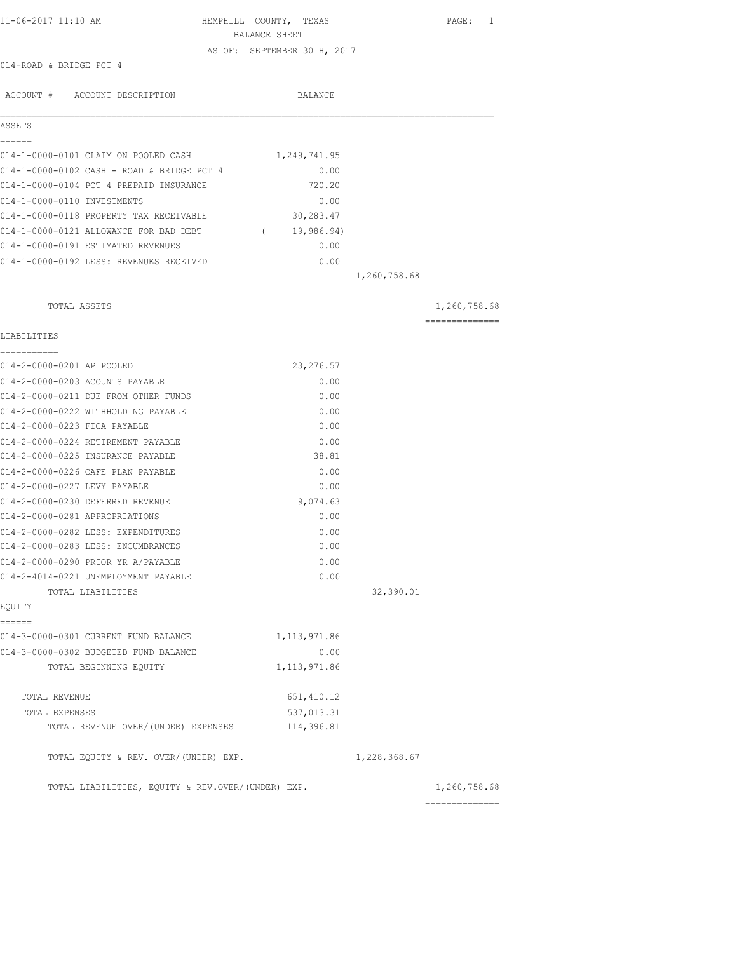| 11-06-2017 11:10 AM                               | HEMPHILL COUNTY, TEXAS      | PAGE: 1        |
|---------------------------------------------------|-----------------------------|----------------|
|                                                   | BALANCE SHEET               |                |
|                                                   | AS OF: SEPTEMBER 30TH, 2017 |                |
| 014-ROAD & BRIDGE PCT 4                           |                             |                |
| ACCOUNT # ACCOUNT DESCRIPTION                     | BALANCE                     |                |
| ASSETS                                            |                             |                |
| ------                                            |                             |                |
| 014-1-0000-0101 CLAIM ON POOLED CASH              | 1,249,741.95                |                |
| 014-1-0000-0102 CASH - ROAD & BRIDGE PCT 4        | 0.00                        |                |
| 014-1-0000-0104 PCT 4 PREPAID INSURANCE           | 720.20                      |                |
| 014-1-0000-0110 INVESTMENTS                       | 0.00                        |                |
| 014-1-0000-0118 PROPERTY TAX RECEIVABLE           | 30,283.47                   |                |
| 014-1-0000-0121 ALLOWANCE FOR BAD DEBT            | 19,986.94)<br>$\sqrt{2}$    |                |
| 014-1-0000-0191 ESTIMATED REVENUES                | 0.00                        |                |
| 014-1-0000-0192 LESS: REVENUES RECEIVED           | 0.00                        |                |
|                                                   | 1,260,758.68                |                |
| TOTAL ASSETS                                      |                             | 1,260,758.68   |
| LIABILITIES                                       |                             | ============== |
| ===========                                       |                             |                |
| 014-2-0000-0201 AP POOLED                         | 23, 276.57                  |                |
| 014-2-0000-0203 ACOUNTS PAYABLE                   | 0.00                        |                |
| 014-2-0000-0211 DUE FROM OTHER FUNDS              | 0.00                        |                |
| 014-2-0000-0222 WITHHOLDING PAYABLE               | 0.00                        |                |
| 014-2-0000-0223 FICA PAYABLE                      | 0.00                        |                |
| 014-2-0000-0224 RETIREMENT PAYABLE                | 0.00                        |                |
| 014-2-0000-0225 INSURANCE PAYABLE                 | 38.81                       |                |
| 014-2-0000-0226 CAFE PLAN PAYABLE                 | 0.00                        |                |
| 014-2-0000-0227 LEVY PAYABLE                      | 0.00                        |                |
| 014-2-0000-0230 DEFERRED REVENUE                  | 9,074.63                    |                |
| 014-2-0000-0281 APPROPRIATIONS                    | 0.00                        |                |
| 014-2-0000-0282 LESS: EXPENDITURES                | 0.00                        |                |
| 014-2-0000-0283 LESS: ENCUMBRANCES                | 0.00                        |                |
| 014-2-0000-0290 PRIOR YR A/PAYABLE                | 0.00                        |                |
| 014-2-4014-0221 UNEMPLOYMENT PAYABLE              | 0.00                        |                |
| TOTAL LIABILITIES                                 |                             | 32,390.01      |
| EOUITY                                            |                             |                |
| ------                                            |                             |                |
| 014-3-0000-0301 CURRENT FUND BALANCE              | 1, 113, 971.86              |                |
| 014-3-0000-0302 BUDGETED FUND BALANCE             | 0.00                        |                |
| TOTAL BEGINNING EQUITY                            | 1, 113, 971.86              |                |
| TOTAL REVENUE                                     | 651, 410.12                 |                |
| TOTAL EXPENSES                                    | 537,013.31                  |                |
| TOTAL REVENUE OVER/ (UNDER) EXPENSES              | 114,396.81                  |                |
| TOTAL EQUITY & REV. OVER/(UNDER) EXP.             | 1,228,368.67                |                |
| TOTAL LIABILITIES, EQUITY & REV.OVER/(UNDER) EXP. |                             | 1,260,758.68   |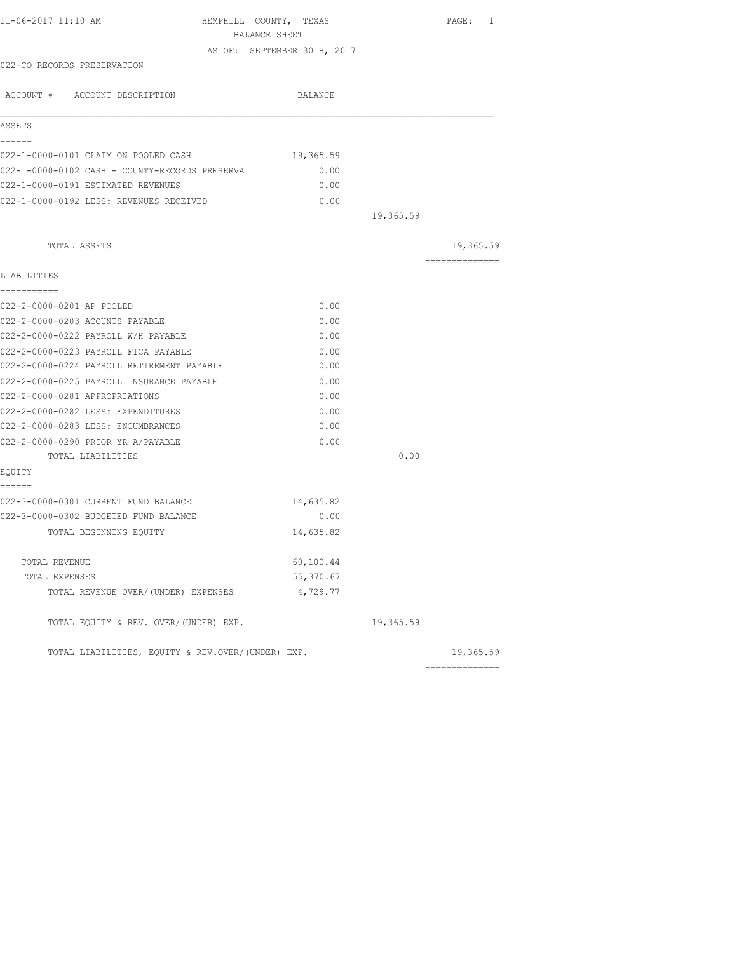| 11-06-2017 11:10 AM                               | HEMPHILL COUNTY, TEXAS<br>BALANCE SHEET |           | PAGE: 1        |
|---------------------------------------------------|-----------------------------------------|-----------|----------------|
|                                                   |                                         |           |                |
| 022-CO RECORDS PRESERVATION                       | AS OF: SEPTEMBER 30TH, 2017             |           |                |
|                                                   |                                         |           |                |
| ACCOUNT # ACCOUNT DESCRIPTION                     | BALANCE                                 |           |                |
| ASSETS                                            |                                         |           |                |
| ======                                            |                                         |           |                |
| 022-1-0000-0101 CLAIM ON POOLED CASH              | 19,365.59                               |           |                |
| 022-1-0000-0102 CASH - COUNTY-RECORDS PRESERVA    | 0.00                                    |           |                |
| 022-1-0000-0191 ESTIMATED REVENUES                | 0.00                                    |           |                |
| 022-1-0000-0192 LESS: REVENUES RECEIVED           | 0.00                                    |           |                |
|                                                   |                                         | 19,365.59 |                |
| TOTAL ASSETS                                      |                                         |           | 19,365.59      |
|                                                   |                                         |           | ============== |
| LIABILITIES                                       |                                         |           |                |
| ===========<br>022-2-0000-0201 AP POOLED          | 0.00                                    |           |                |
| 022-2-0000-0203 ACOUNTS PAYABLE                   | 0.00                                    |           |                |
| 022-2-0000-0222 PAYROLL W/H PAYABLE               | 0.00                                    |           |                |
| 022-2-0000-0223 PAYROLL FICA PAYABLE              | 0.00                                    |           |                |
| 022-2-0000-0224 PAYROLL RETIREMENT PAYABLE        | 0.00                                    |           |                |
| 022-2-0000-0225 PAYROLL INSURANCE PAYABLE         | 0.00                                    |           |                |
| 022-2-0000-0281 APPROPRIATIONS                    | 0.00                                    |           |                |
| 022-2-0000-0282 LESS: EXPENDITURES                | 0.00                                    |           |                |
| 022-2-0000-0283 LESS: ENCUMBRANCES                | 0.00                                    |           |                |
| 022-2-0000-0290 PRIOR YR A/PAYABLE                | 0.00                                    |           |                |
| TOTAL LIABILITIES                                 |                                         | 0.00      |                |
| EQUITY                                            |                                         |           |                |
| ======<br>022-3-0000-0301 CURRENT FUND BALANCE    | 14,635.82                               |           |                |
| 022-3-0000-0302 BUDGETED FUND BALANCE             | 0.00                                    |           |                |
| TOTAL BEGINNING EQUITY                            | 14,635.82                               |           |                |
|                                                   |                                         |           |                |
| TOTAL REVENUE                                     | 60,100.44                               |           |                |
| TOTAL EXPENSES                                    | 55,370.67                               |           |                |
| TOTAL REVENUE OVER/(UNDER) EXPENSES               | 4,729.77                                |           |                |
| TOTAL EQUITY & REV. OVER/(UNDER) EXP.             |                                         | 19,365.59 |                |
| TOTAL LIABILITIES, EQUITY & REV.OVER/(UNDER) EXP. |                                         |           | 19,365.59      |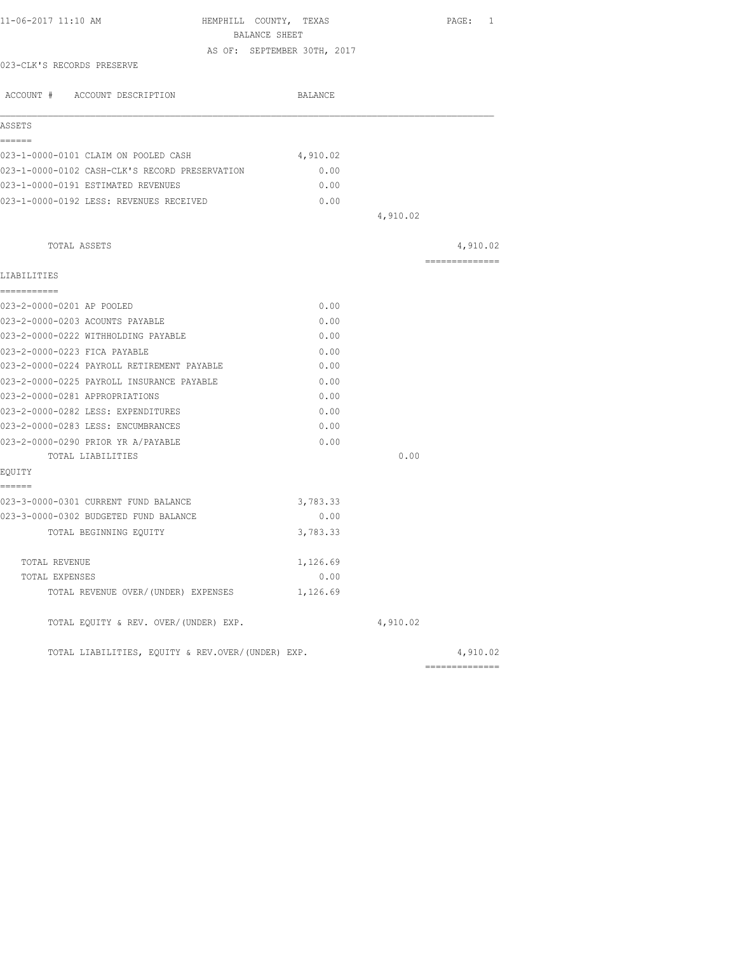| 11-06-2017 11:10 AM                               | HEMPHILL COUNTY, TEXAS<br>BALANCE SHEET | PAGE: 1        |
|---------------------------------------------------|-----------------------------------------|----------------|
|                                                   | AS OF: SEPTEMBER 30TH, 2017             |                |
| 023-CLK'S RECORDS PRESERVE                        |                                         |                |
| ACCOUNT # ACCOUNT DESCRIPTION                     | BALANCE                                 |                |
| ASSETS                                            |                                         |                |
| ======                                            |                                         |                |
| 023-1-0000-0101 CLAIM ON POOLED CASH              | 4,910.02                                |                |
| 023-1-0000-0102 CASH-CLK'S RECORD PRESERVATION    | 0.00                                    |                |
| 023-1-0000-0191 ESTIMATED REVENUES                | 0.00                                    |                |
| 023-1-0000-0192 LESS: REVENUES RECEIVED           | 0.00                                    |                |
|                                                   | 4,910.02                                |                |
| TOTAL ASSETS                                      |                                         | 4,910.02       |
| LIABILITIES                                       |                                         | ============== |
| ===========                                       |                                         |                |
| 023-2-0000-0201 AP POOLED                         | 0.00                                    |                |
| 023-2-0000-0203 ACOUNTS PAYABLE                   | 0.00                                    |                |
| 023-2-0000-0222 WITHHOLDING PAYABLE               | 0.00                                    |                |
| 023-2-0000-0223 FICA PAYABLE                      | 0.00                                    |                |
| 023-2-0000-0224 PAYROLL RETIREMENT PAYABLE        | 0.00                                    |                |
| 023-2-0000-0225 PAYROLL INSURANCE PAYABLE         | 0.00                                    |                |
| 023-2-0000-0281 APPROPRIATIONS                    | 0.00                                    |                |
| 023-2-0000-0282 LESS: EXPENDITURES                | 0.00                                    |                |
| 023-2-0000-0283 LESS: ENCUMBRANCES                | 0.00                                    |                |
| 023-2-0000-0290 PRIOR YR A/PAYABLE                | 0.00                                    |                |
| TOTAL LIABILITIES                                 |                                         | 0.00           |
| EQUITY<br>------                                  |                                         |                |
| 023-3-0000-0301 CURRENT FUND BALANCE              | 3,783.33                                |                |
| 023-3-0000-0302 BUDGETED FUND BALANCE             | 0.00                                    |                |
| TOTAL BEGINNING EQUITY                            | 3,783.33                                |                |
| TOTAL REVENUE                                     | 1,126.69                                |                |
| TOTAL EXPENSES                                    | 0.00                                    |                |
| TOTAL REVENUE OVER/(UNDER) EXPENSES               | 1,126.69                                |                |
| TOTAL EQUITY & REV. OVER/(UNDER) EXP.             | 4,910.02                                |                |
| TOTAL LIABILITIES, EQUITY & REV.OVER/(UNDER) EXP. |                                         | 4,910.02       |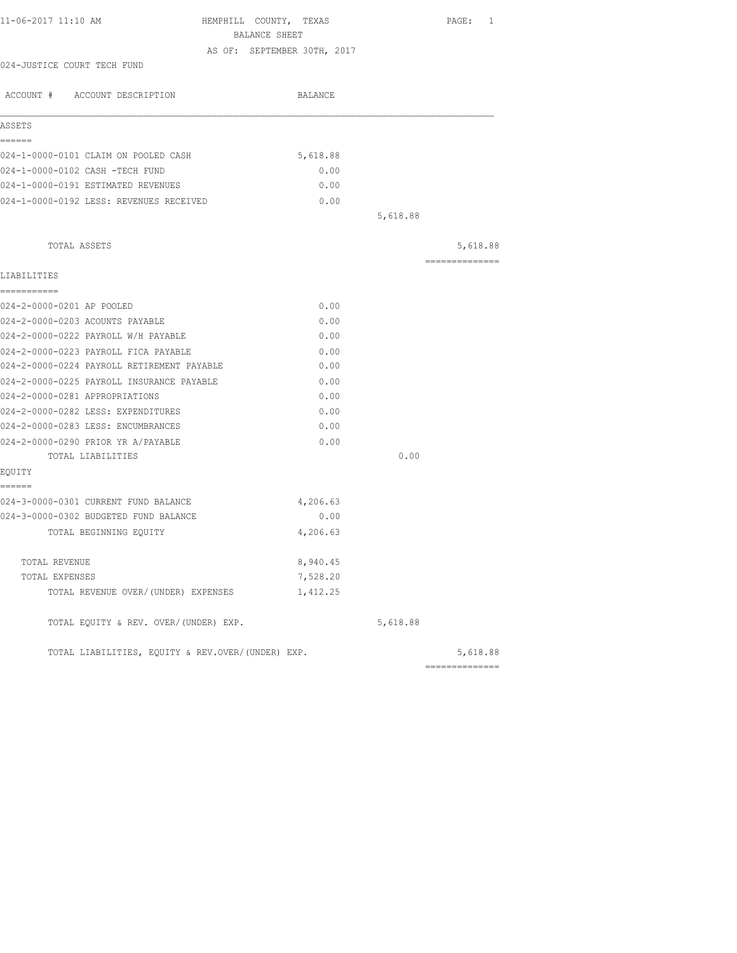| 11-06-2017 11:10 AM<br>HEMPHILL COUNTY, TEXAS<br>BALANCE SHEET |                             |          | PAGE: 1        |
|----------------------------------------------------------------|-----------------------------|----------|----------------|
|                                                                | AS OF: SEPTEMBER 30TH, 2017 |          |                |
| 024-JUSTICE COURT TECH FUND                                    |                             |          |                |
| ACCOUNT # ACCOUNT DESCRIPTION                                  | BALANCE                     |          |                |
| ASSETS                                                         |                             |          |                |
| ------                                                         |                             |          |                |
| 024-1-0000-0101 CLAIM ON POOLED CASH                           | 5,618.88                    |          |                |
| 024-1-0000-0102 CASH -TECH FUND                                | 0.00                        |          |                |
| 024-1-0000-0191 ESTIMATED REVENUES                             | 0.00                        |          |                |
| 024-1-0000-0192 LESS: REVENUES RECEIVED                        | 0.00                        |          |                |
|                                                                |                             | 5,618.88 |                |
| TOTAL ASSETS                                                   |                             |          | 5,618.88       |
| LIABILITIES                                                    |                             |          | ============== |
| ===========                                                    |                             |          |                |
| 024-2-0000-0201 AP POOLED                                      | 0.00                        |          |                |
| 024-2-0000-0203 ACOUNTS PAYABLE                                | 0.00                        |          |                |
| 024-2-0000-0222 PAYROLL W/H PAYABLE                            | 0.00                        |          |                |
| 024-2-0000-0223 PAYROLL FICA PAYABLE                           | 0.00                        |          |                |
| 024-2-0000-0224 PAYROLL RETIREMENT PAYABLE                     | 0.00                        |          |                |
| 024-2-0000-0225 PAYROLL INSURANCE PAYABLE                      | 0.00                        |          |                |
| 024-2-0000-0281 APPROPRIATIONS                                 | 0.00                        |          |                |
| 024-2-0000-0282 LESS: EXPENDITURES                             | 0.00                        |          |                |
| 024-2-0000-0283 LESS: ENCUMBRANCES                             | 0.00                        |          |                |
| 024-2-0000-0290 PRIOR YR A/PAYABLE                             | 0.00                        |          |                |
| TOTAL LIABILITIES                                              |                             | 0.00     |                |
| EQUITY                                                         |                             |          |                |
| ======<br>024-3-0000-0301 CURRENT FUND BALANCE                 | 4,206.63                    |          |                |
| 024-3-0000-0302 BUDGETED FUND BALANCE                          | 0.00                        |          |                |
| TOTAL BEGINNING EQUITY                                         | 4,206.63                    |          |                |
| TOTAL REVENUE                                                  | 8,940.45                    |          |                |
| TOTAL EXPENSES                                                 | 7,528.20                    |          |                |
| TOTAL REVENUE OVER/(UNDER) EXPENSES                            | 1,412.25                    |          |                |
| TOTAL EQUITY & REV. OVER/(UNDER) EXP.                          |                             | 5,618.88 |                |
| TOTAL LIABILITIES, EQUITY & REV.OVER/(UNDER) EXP.              |                             |          | 5,618.88       |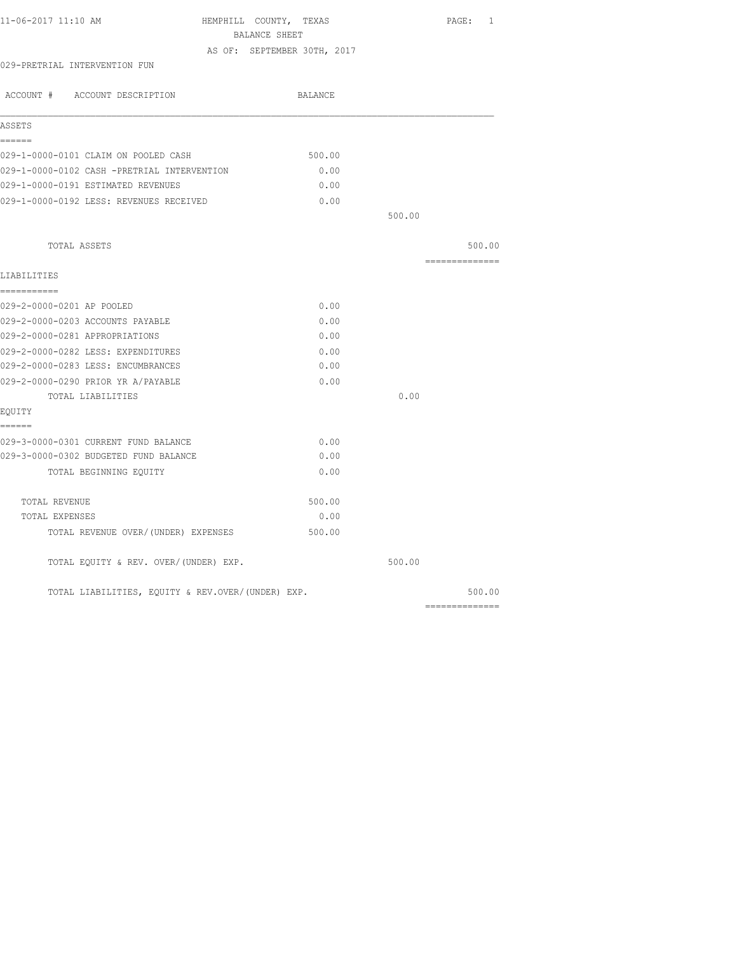| 11-06-2017 11:10 AM                               | HEMPHILL COUNTY, TEXAS      |        | PAGE: 1                                                                                                                                                                                                                                                                                                                                                                                                                                                                                |
|---------------------------------------------------|-----------------------------|--------|----------------------------------------------------------------------------------------------------------------------------------------------------------------------------------------------------------------------------------------------------------------------------------------------------------------------------------------------------------------------------------------------------------------------------------------------------------------------------------------|
|                                                   | BALANCE SHEET               |        |                                                                                                                                                                                                                                                                                                                                                                                                                                                                                        |
|                                                   | AS OF: SEPTEMBER 30TH, 2017 |        |                                                                                                                                                                                                                                                                                                                                                                                                                                                                                        |
| 029-PRETRIAL INTERVENTION FUN                     |                             |        |                                                                                                                                                                                                                                                                                                                                                                                                                                                                                        |
| ACCOUNT # ACCOUNT DESCRIPTION                     | <b>BALANCE</b>              |        |                                                                                                                                                                                                                                                                                                                                                                                                                                                                                        |
| ASSETS                                            |                             |        |                                                                                                                                                                                                                                                                                                                                                                                                                                                                                        |
| ------                                            |                             |        |                                                                                                                                                                                                                                                                                                                                                                                                                                                                                        |
| 029-1-0000-0101 CLAIM ON POOLED CASH              | 500.00                      |        |                                                                                                                                                                                                                                                                                                                                                                                                                                                                                        |
| 029-1-0000-0102 CASH -PRETRIAL INTERVENTION       | 0.00                        |        |                                                                                                                                                                                                                                                                                                                                                                                                                                                                                        |
| 029-1-0000-0191 ESTIMATED REVENUES                | 0.00                        |        |                                                                                                                                                                                                                                                                                                                                                                                                                                                                                        |
| 029-1-0000-0192 LESS: REVENUES RECEIVED           | 0.00                        |        |                                                                                                                                                                                                                                                                                                                                                                                                                                                                                        |
|                                                   |                             | 500.00 |                                                                                                                                                                                                                                                                                                                                                                                                                                                                                        |
| TOTAL ASSETS                                      |                             |        | 500.00                                                                                                                                                                                                                                                                                                                                                                                                                                                                                 |
| LIABILITIES                                       |                             |        | $\begin{array}{cccccccccc} \multicolumn{2}{c}{} & \multicolumn{2}{c}{} & \multicolumn{2}{c}{} & \multicolumn{2}{c}{} & \multicolumn{2}{c}{} & \multicolumn{2}{c}{} & \multicolumn{2}{c}{} & \multicolumn{2}{c}{} & \multicolumn{2}{c}{} & \multicolumn{2}{c}{} & \multicolumn{2}{c}{} & \multicolumn{2}{c}{} & \multicolumn{2}{c}{} & \multicolumn{2}{c}{} & \multicolumn{2}{c}{} & \multicolumn{2}{c}{} & \multicolumn{2}{c}{} & \multicolumn{2}{c}{} & \multicolumn{2}{c}{} & \mult$ |
| ===========                                       |                             |        |                                                                                                                                                                                                                                                                                                                                                                                                                                                                                        |
| 029-2-0000-0201 AP POOLED                         | 0.00                        |        |                                                                                                                                                                                                                                                                                                                                                                                                                                                                                        |
| 029-2-0000-0203 ACCOUNTS PAYABLE                  | 0.00                        |        |                                                                                                                                                                                                                                                                                                                                                                                                                                                                                        |
| 029-2-0000-0281 APPROPRIATIONS                    | 0.00                        |        |                                                                                                                                                                                                                                                                                                                                                                                                                                                                                        |
| 029-2-0000-0282 LESS: EXPENDITURES                | 0.00                        |        |                                                                                                                                                                                                                                                                                                                                                                                                                                                                                        |
| 029-2-0000-0283 LESS: ENCUMBRANCES                | 0.00                        |        |                                                                                                                                                                                                                                                                                                                                                                                                                                                                                        |
| 029-2-0000-0290 PRIOR YR A/PAYABLE                | 0.00                        |        |                                                                                                                                                                                                                                                                                                                                                                                                                                                                                        |
| TOTAL LIABILITIES                                 |                             | 0.00   |                                                                                                                                                                                                                                                                                                                                                                                                                                                                                        |
| EQUITY                                            |                             |        |                                                                                                                                                                                                                                                                                                                                                                                                                                                                                        |
| ======                                            |                             |        |                                                                                                                                                                                                                                                                                                                                                                                                                                                                                        |
| 029-3-0000-0301 CURRENT FUND BALANCE              | 0.00                        |        |                                                                                                                                                                                                                                                                                                                                                                                                                                                                                        |
| 029-3-0000-0302 BUDGETED FUND BALANCE             | 0.00                        |        |                                                                                                                                                                                                                                                                                                                                                                                                                                                                                        |
| TOTAL BEGINNING EQUITY                            | 0.00                        |        |                                                                                                                                                                                                                                                                                                                                                                                                                                                                                        |
| TOTAL REVENUE                                     | 500.00                      |        |                                                                                                                                                                                                                                                                                                                                                                                                                                                                                        |
| TOTAL EXPENSES                                    | 0.00                        |        |                                                                                                                                                                                                                                                                                                                                                                                                                                                                                        |
| TOTAL REVENUE OVER/(UNDER) EXPENSES               | 500.00                      |        |                                                                                                                                                                                                                                                                                                                                                                                                                                                                                        |
| TOTAL EQUITY & REV. OVER/(UNDER) EXP.             |                             | 500.00 |                                                                                                                                                                                                                                                                                                                                                                                                                                                                                        |
| TOTAL LIABILITIES, EQUITY & REV.OVER/(UNDER) EXP. |                             |        | 500.00                                                                                                                                                                                                                                                                                                                                                                                                                                                                                 |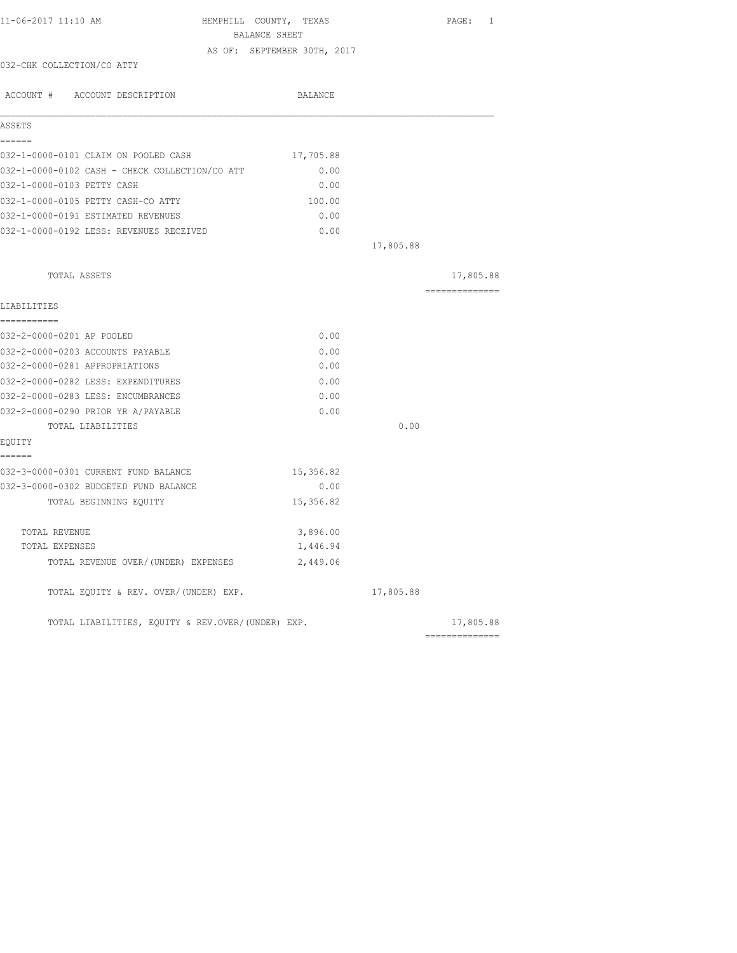| 11-06-2017 11:10 AM<br>HEMPHILL COUNTY, TEXAS<br>BALANCE SHEET |                             |           | PAGE: 1        |
|----------------------------------------------------------------|-----------------------------|-----------|----------------|
|                                                                | AS OF: SEPTEMBER 30TH, 2017 |           |                |
| 032-CHK COLLECTION/CO ATTY                                     |                             |           |                |
| ACCOUNT # ACCOUNT DESCRIPTION                                  | BALANCE                     |           |                |
| ASSETS                                                         |                             |           |                |
| ------<br>032-1-0000-0101 CLAIM ON POOLED CASH                 | 17,705.88                   |           |                |
| 032-1-0000-0102 CASH - CHECK COLLECTION/CO ATT                 | 0.00                        |           |                |
| 032-1-0000-0103 PETTY CASH                                     | 0.00                        |           |                |
| 032-1-0000-0105 PETTY CASH-CO ATTY                             | 100.00                      |           |                |
| 032-1-0000-0191 ESTIMATED REVENUES                             | 0.00                        |           |                |
| 032-1-0000-0192 LESS: REVENUES RECEIVED                        | 0.00                        |           |                |
|                                                                |                             | 17,805.88 |                |
| TOTAL ASSETS                                                   |                             |           | 17,805.88      |
| LIABILITIES                                                    |                             |           | -------------- |
| -----------                                                    |                             |           |                |
| 032-2-0000-0201 AP POOLED                                      | 0.00                        |           |                |
| 032-2-0000-0203 ACCOUNTS PAYABLE                               | 0.00                        |           |                |
| 032-2-0000-0281 APPROPRIATIONS                                 | 0.00                        |           |                |
| 032-2-0000-0282 LESS: EXPENDITURES                             | 0.00                        |           |                |
| 032-2-0000-0283 LESS: ENCUMBRANCES                             | 0.00                        |           |                |
| 032-2-0000-0290 PRIOR YR A/PAYABLE                             | 0.00                        |           |                |
| TOTAL LIABILITIES                                              |                             | 0.00      |                |
| EQUITY<br>------                                               |                             |           |                |
| 032-3-0000-0301 CURRENT FUND BALANCE                           | 15,356.82                   |           |                |
| 032-3-0000-0302 BUDGETED FUND BALANCE                          | 0.00                        |           |                |
| TOTAL BEGINNING EQUITY                                         | 15,356.82                   |           |                |
| TOTAL REVENUE                                                  | 3,896.00                    |           |                |
| TOTAL EXPENSES                                                 | 1,446.94                    |           |                |
| TOTAL REVENUE OVER/(UNDER) EXPENSES                            | 2,449.06                    |           |                |
| TOTAL EQUITY & REV. OVER/(UNDER) EXP.                          |                             | 17,805.88 |                |
| TOTAL LIABILITIES, EQUITY & REV.OVER/(UNDER) EXP.              |                             |           | 17,805.88      |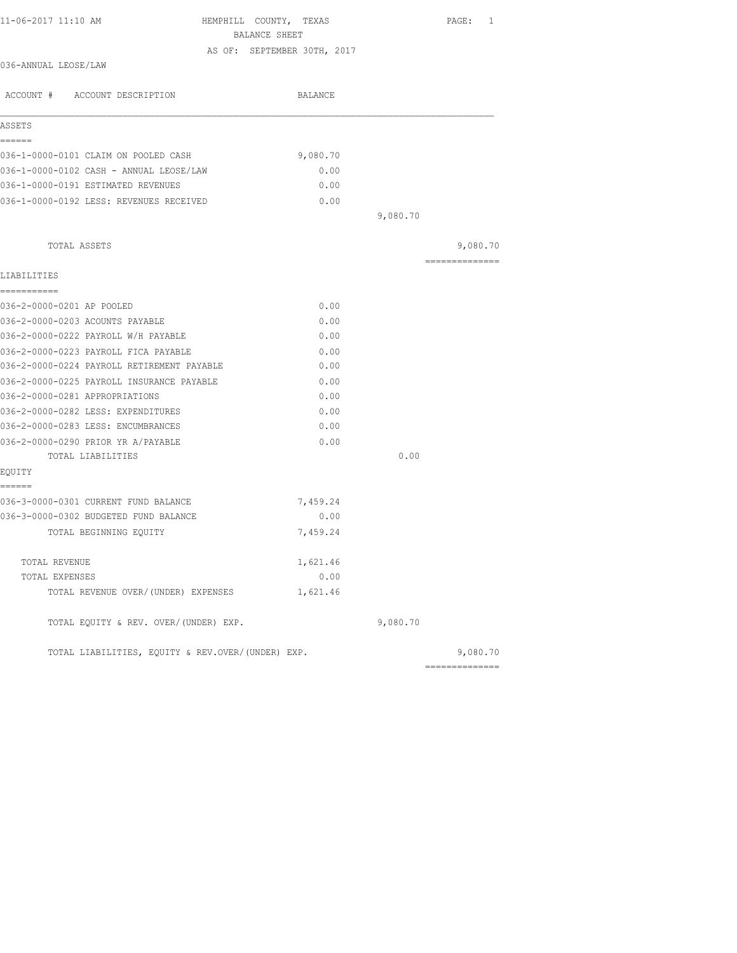| 11-06-2017 11:10 AM<br>HEMPHILL COUNTY, TEXAS     | BALANCE SHEET               |          | PAGE: 1         |
|---------------------------------------------------|-----------------------------|----------|-----------------|
|                                                   | AS OF: SEPTEMBER 30TH, 2017 |          |                 |
| 036-ANNUAL LEOSE/LAW                              |                             |          |                 |
| ACCOUNT # ACCOUNT DESCRIPTION                     | BALANCE                     |          |                 |
| ASSETS                                            |                             |          |                 |
| ======                                            |                             |          |                 |
| 036-1-0000-0101 CLAIM ON POOLED CASH              | 9,080.70                    |          |                 |
| 036-1-0000-0102 CASH - ANNUAL LEOSE/LAW           | 0.00                        |          |                 |
| 036-1-0000-0191 ESTIMATED REVENUES                | 0.00                        |          |                 |
| 036-1-0000-0192 LESS: REVENUES RECEIVED           | 0.00                        |          |                 |
|                                                   |                             | 9,080.70 |                 |
| TOTAL ASSETS                                      |                             |          | 9,080.70        |
| LIABILITIES                                       |                             |          | =============== |
| -----------                                       |                             |          |                 |
| 036-2-0000-0201 AP POOLED                         | 0.00                        |          |                 |
| 036-2-0000-0203 ACOUNTS PAYABLE                   | 0.00                        |          |                 |
| 036-2-0000-0222 PAYROLL W/H PAYABLE               | 0.00                        |          |                 |
| 036-2-0000-0223 PAYROLL FICA PAYABLE              | 0.00                        |          |                 |
| 036-2-0000-0224 PAYROLL RETIREMENT PAYABLE        | 0.00                        |          |                 |
| 036-2-0000-0225 PAYROLL INSURANCE PAYABLE         | 0.00                        |          |                 |
| 036-2-0000-0281 APPROPRIATIONS                    | 0.00                        |          |                 |
| 036-2-0000-0282 LESS: EXPENDITURES                | 0.00                        |          |                 |
| 036-2-0000-0283 LESS: ENCUMBRANCES                | 0.00                        |          |                 |
| 036-2-0000-0290 PRIOR YR A/PAYABLE                | 0.00                        |          |                 |
| TOTAL LIABILITIES                                 |                             | 0.00     |                 |
| EQUITY<br>======                                  |                             |          |                 |
| 036-3-0000-0301 CURRENT FUND BALANCE              | 7,459.24                    |          |                 |
| 036-3-0000-0302 BUDGETED FUND BALANCE             | 0.00                        |          |                 |
| TOTAL BEGINNING EQUITY                            | 7,459.24                    |          |                 |
| TOTAL REVENUE                                     | 1,621.46                    |          |                 |
| TOTAL EXPENSES                                    | 0.00                        |          |                 |
| TOTAL REVENUE OVER/(UNDER) EXPENSES               | 1,621.46                    |          |                 |
| TOTAL EQUITY & REV. OVER/(UNDER) EXP.             |                             | 9,080.70 |                 |
| TOTAL LIABILITIES, EQUITY & REV.OVER/(UNDER) EXP. |                             |          | 9,080.70        |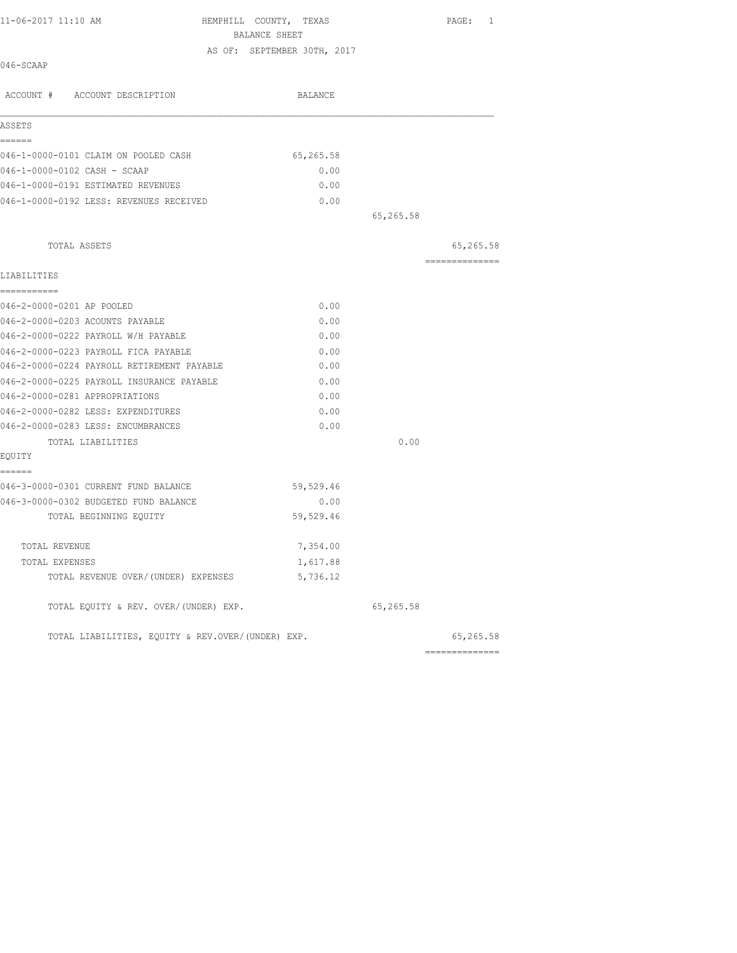| 11-06-2017 11:10 AM                            | HEMPHILL COUNTY, TEXAS<br>BALANCE SHEET | PAGE:<br>$\mathbf{1}$ |
|------------------------------------------------|-----------------------------------------|-----------------------|
|                                                | AS OF: SEPTEMBER 30TH, 2017             |                       |
| 046-SCAAP                                      |                                         |                       |
| ACCOUNT # ACCOUNT DESCRIPTION                  | BALANCE                                 |                       |
| ASSETS                                         |                                         |                       |
| ======<br>046-1-0000-0101 CLAIM ON POOLED CASH | 65,265.58                               |                       |
| 046-1-0000-0102 CASH - SCAAP                   | 0.00                                    |                       |
| 046-1-0000-0191 ESTIMATED REVENUES             | 0.00                                    |                       |
| 046-1-0000-0192 LESS: REVENUES RECEIVED        | 0.00                                    |                       |
|                                                |                                         | 65,265.58             |
| TOTAL ASSETS                                   |                                         | 65,265.58             |
| LIABILITIES                                    |                                         | ---------------       |
| ------------                                   |                                         |                       |
| 046-2-0000-0201 AP POOLED                      | 0.00                                    |                       |
| 046-2-0000-0203 ACOUNTS PAYABLE                | 0.00                                    |                       |
| 046-2-0000-0222 PAYROLL W/H PAYABLE            | 0.00                                    |                       |
| 046-2-0000-0223 PAYROLL FICA PAYABLE           | 0.00                                    |                       |
| 046-2-0000-0224 PAYROLL RETIREMENT PAYABLE     | 0.00                                    |                       |
| 046-2-0000-0225 PAYROLL INSURANCE PAYABLE      | 0.00                                    |                       |
| 046-2-0000-0281 APPROPRIATIONS                 | 0.00                                    |                       |
| 046-2-0000-0282 LESS: EXPENDITURES             | 0.00                                    |                       |
| 046-2-0000-0283 LESS: ENCUMBRANCES             | 0.00                                    |                       |
| TOTAL LIABILITIES                              |                                         | 0.00                  |
| EOUITY                                         |                                         |                       |
| ======<br>046-3-0000-0301 CURRENT FUND BALANCE | 59,529.46                               |                       |
| 046-3-0000-0302 BUDGETED FUND BALANCE          | 0.00                                    |                       |
| TOTAL BEGINNING EQUITY                         | 59,529.46                               |                       |
| TOTAL REVENUE                                  | 7,354.00                                |                       |
| TOTAL EXPENSES                                 | 1,617.88                                |                       |

TOTAL EQUITY & REV. OVER/(UNDER) EXP. 65,265.58

TOTAL LIABILITIES, EQUITY & REV.OVER/(UNDER) EXP. 65,265.58

TOTAL REVENUE OVER/(UNDER) EXPENSES 5,736.12

|  | 65, 265. |  |
|--|----------|--|
|  |          |  |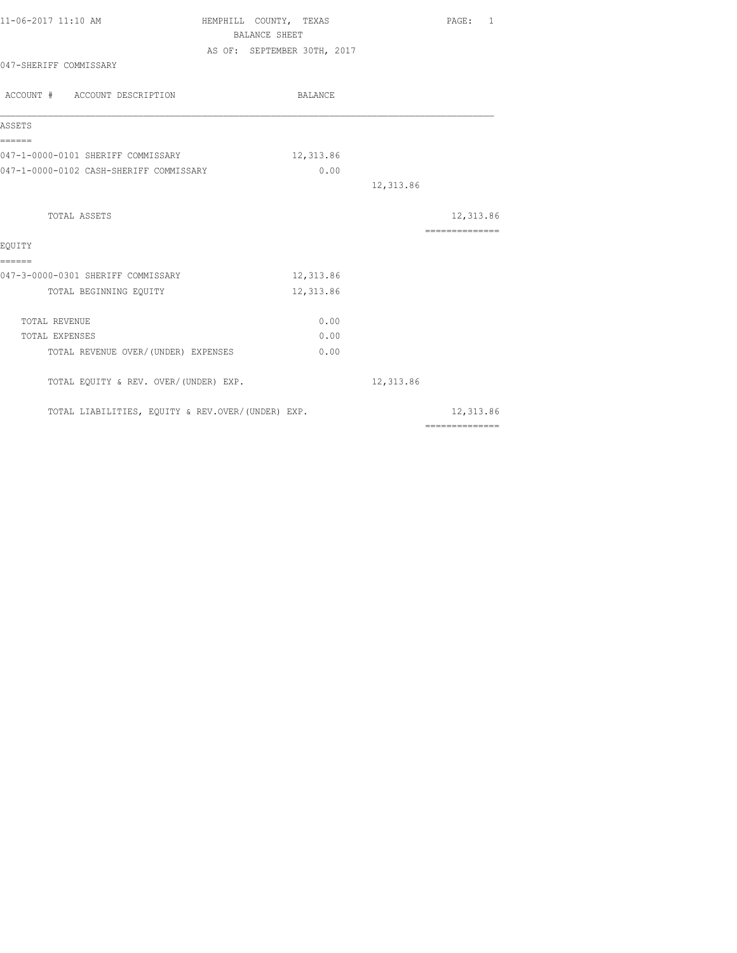| 11-06-2017 11:10 AM                               | HEMPHILL COUNTY, TEXAS      |           | PAGE: 1                                                                                                                                                                                                                                                                                                                                                                                                                                                                                |  |
|---------------------------------------------------|-----------------------------|-----------|----------------------------------------------------------------------------------------------------------------------------------------------------------------------------------------------------------------------------------------------------------------------------------------------------------------------------------------------------------------------------------------------------------------------------------------------------------------------------------------|--|
|                                                   | BALANCE SHEET               |           |                                                                                                                                                                                                                                                                                                                                                                                                                                                                                        |  |
|                                                   | AS OF: SEPTEMBER 30TH, 2017 |           |                                                                                                                                                                                                                                                                                                                                                                                                                                                                                        |  |
| 047-SHERIFF COMMISSARY                            |                             |           |                                                                                                                                                                                                                                                                                                                                                                                                                                                                                        |  |
| ACCOUNT # ACCOUNT DESCRIPTION                     | BALANCE                     |           |                                                                                                                                                                                                                                                                                                                                                                                                                                                                                        |  |
| ASSETS                                            |                             |           |                                                                                                                                                                                                                                                                                                                                                                                                                                                                                        |  |
| ======<br>047-1-0000-0101 SHERIFF COMMISSARY      | 12,313.86                   |           |                                                                                                                                                                                                                                                                                                                                                                                                                                                                                        |  |
| 047-1-0000-0102 CASH-SHERIFF COMMISSARY           | 0.00                        |           |                                                                                                                                                                                                                                                                                                                                                                                                                                                                                        |  |
|                                                   |                             | 12,313.86 |                                                                                                                                                                                                                                                                                                                                                                                                                                                                                        |  |
| TOTAL ASSETS                                      |                             |           | 12,313.86                                                                                                                                                                                                                                                                                                                                                                                                                                                                              |  |
| EOUITY                                            |                             |           | $\begin{array}{cccccccccc} \multicolumn{2}{c}{} & \multicolumn{2}{c}{} & \multicolumn{2}{c}{} & \multicolumn{2}{c}{} & \multicolumn{2}{c}{} & \multicolumn{2}{c}{} & \multicolumn{2}{c}{} & \multicolumn{2}{c}{} & \multicolumn{2}{c}{} & \multicolumn{2}{c}{} & \multicolumn{2}{c}{} & \multicolumn{2}{c}{} & \multicolumn{2}{c}{} & \multicolumn{2}{c}{} & \multicolumn{2}{c}{} & \multicolumn{2}{c}{} & \multicolumn{2}{c}{} & \multicolumn{2}{c}{} & \multicolumn{2}{c}{} & \mult$ |  |
| ======<br>047-3-0000-0301 SHERIFF COMMISSARY      | 12,313.86                   |           |                                                                                                                                                                                                                                                                                                                                                                                                                                                                                        |  |
| TOTAL BEGINNING EQUITY                            | 12,313.86                   |           |                                                                                                                                                                                                                                                                                                                                                                                                                                                                                        |  |
| TOTAL REVENUE                                     | 0.00                        |           |                                                                                                                                                                                                                                                                                                                                                                                                                                                                                        |  |
| TOTAL EXPENSES                                    | 0.00                        |           |                                                                                                                                                                                                                                                                                                                                                                                                                                                                                        |  |
| TOTAL REVENUE OVER/(UNDER) EXPENSES               | 0.00                        |           |                                                                                                                                                                                                                                                                                                                                                                                                                                                                                        |  |
| TOTAL EQUITY & REV. OVER/(UNDER) EXP.             |                             | 12,313.86 |                                                                                                                                                                                                                                                                                                                                                                                                                                                                                        |  |
| TOTAL LIABILITIES, EQUITY & REV.OVER/(UNDER) EXP. |                             |           | 12,313.86                                                                                                                                                                                                                                                                                                                                                                                                                                                                              |  |
|                                                   |                             |           | $\begin{array}{cccccccccccccc} \multicolumn{2}{c}{} & \multicolumn{2}{c}{} & \multicolumn{2}{c}{} & \multicolumn{2}{c}{} & \multicolumn{2}{c}{} & \multicolumn{2}{c}{} & \multicolumn{2}{c}{} & \multicolumn{2}{c}{} & \multicolumn{2}{c}{} & \multicolumn{2}{c}{} & \multicolumn{2}{c}{} & \multicolumn{2}{c}{} & \multicolumn{2}{c}{} & \multicolumn{2}{c}{} & \multicolumn{2}{c}{} & \multicolumn{2}{c}{} & \multicolumn{2}{c}{} & \multicolumn{2}{c}{} & \multicolumn{2}{c}{} & \$ |  |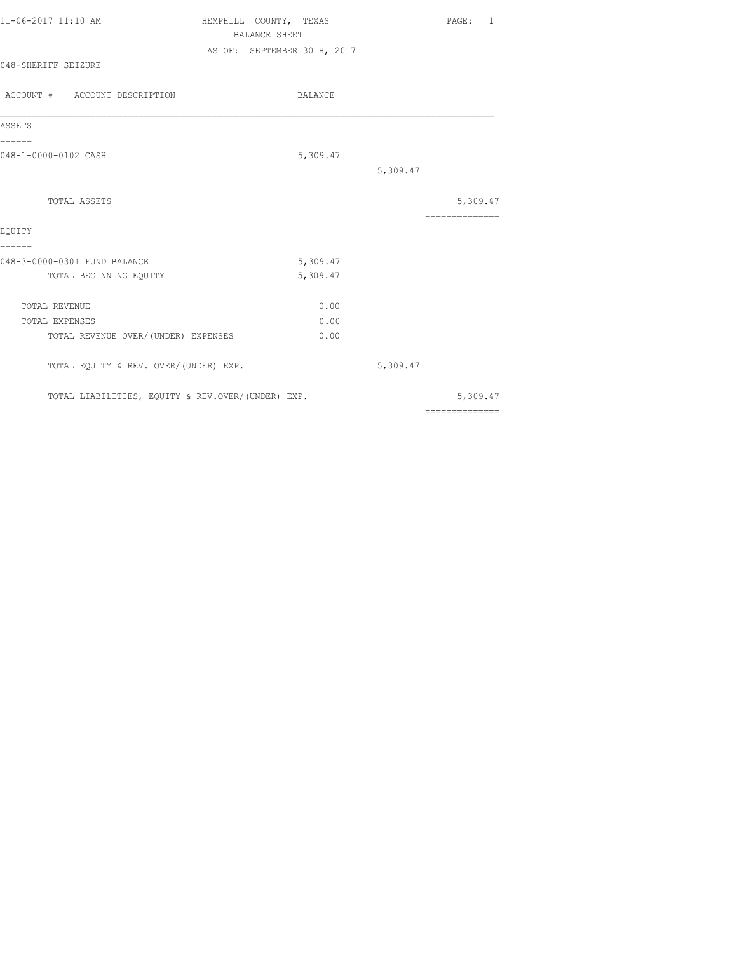| 11-06-2017 11:10 AM | HEMPHILL COUNTY, TEXAS |                             |  | PAGE: |  |
|---------------------|------------------------|-----------------------------|--|-------|--|
|                     |                        | BALANCE SHEET               |  |       |  |
|                     |                        | AS OF: SEPTEMBER 30TH, 2017 |  |       |  |
| 048-SHERIFF SEIZURE |                        |                             |  |       |  |
|                     |                        |                             |  |       |  |

| ACCOUNT # ACCOUNT DESCRIPTION                     | <b>BALANCE</b> |          |                            |
|---------------------------------------------------|----------------|----------|----------------------------|
| ASSETS                                            |                |          |                            |
| ======<br>048-1-0000-0102 CASH                    | 5,309.47       |          |                            |
|                                                   |                | 5,309.47 |                            |
| TOTAL ASSETS                                      |                |          | 5,309.47<br>============== |
| EOUITY<br>======                                  |                |          |                            |
| 048-3-0000-0301 FUND BALANCE                      | 5,309.47       |          |                            |
| TOTAL BEGINNING EQUITY                            | 5,309.47       |          |                            |
| <b>TOTAL REVENUE</b>                              | 0.00           |          |                            |
| TOTAL EXPENSES                                    | 0.00           |          |                            |
| TOTAL REVENUE OVER/(UNDER) EXPENSES               | 0.00           |          |                            |
| TOTAL EQUITY & REV. OVER/(UNDER) EXP.             |                | 5,309.47 |                            |
| TOTAL LIABILITIES, EQUITY & REV.OVER/(UNDER) EXP. |                |          | 5,309.47                   |
|                                                   |                |          | ==============             |